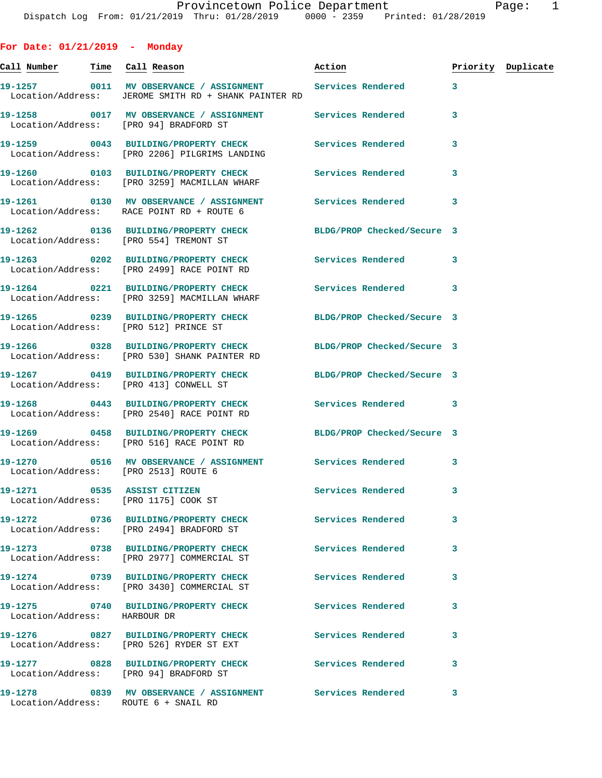**For Date: 01/21/2019 - Monday Call Number Time Call Reason Action Priority Duplicate 19-1257 0011 MV OBSERVANCE / ASSIGNMENT Services Rendered 3**  Location/Address: JEROME SMITH RD + SHANK PAINTER RD **19-1258 0017 MV OBSERVANCE / ASSIGNMENT Services Rendered 3**  Location/Address: [PRO 94] BRADFORD ST **19-1259 0043 BUILDING/PROPERTY CHECK Services Rendered 3**  Location/Address: [PRO 2206] PILGRIMS LANDING **19-1260 0103 BUILDING/PROPERTY CHECK Services Rendered 3**  Location/Address: [PRO 3259] MACMILLAN WHARF **19-1261 0130 MV OBSERVANCE / ASSIGNMENT Services Rendered 3**  Location/Address: RACE POINT RD + ROUTE 6 **19-1262 0136 BUILDING/PROPERTY CHECK BLDG/PROP Checked/Secure 3**  Location/Address: [PRO 554] TREMONT ST **19-1263 0202 BUILDING/PROPERTY CHECK Services Rendered 3**  Location/Address: [PRO 2499] RACE POINT RD **19-1264 0221 BUILDING/PROPERTY CHECK Services Rendered 3**  Location/Address: [PRO 3259] MACMILLAN WHARF **19-1265 0239 BUILDING/PROPERTY CHECK BLDG/PROP Checked/Secure 3**  Location/Address: [PRO 512] PRINCE ST **19-1266 0328 BUILDING/PROPERTY CHECK BLDG/PROP Checked/Secure 3**  Location/Address: [PRO 530] SHANK PAINTER RD **19-1267 0419 BUILDING/PROPERTY CHECK BLDG/PROP Checked/Secure 3**  Location/Address: [PRO 413] CONWELL ST **19-1268 0443 BUILDING/PROPERTY CHECK Services Rendered 3**  Location/Address: [PRO 2540] RACE POINT RD **19-1269 0458 BUILDING/PROPERTY CHECK BLDG/PROP Checked/Secure 3**  Location/Address: [PRO 516] RACE POINT RD **19-1270 0516 MV OBSERVANCE / ASSIGNMENT Services Rendered 3**  Location/Address: [PRO 2513] ROUTE 6 **19-1271 0535 ASSIST CITIZEN Services Rendered 3**  Location/Address: [PRO 1175] COOK ST **19-1272 0736 BUILDING/PROPERTY CHECK Services Rendered 3**  Location/Address: [PRO 2494] BRADFORD ST **19-1273 0738 BUILDING/PROPERTY CHECK Services Rendered 3**  Location/Address: [PRO 2977] COMMERCIAL ST **19-1274 0739 BUILDING/PROPERTY CHECK Services Rendered 3**  Location/Address: [PRO 3430] COMMERCIAL ST **19-1275 0740 BUILDING/PROPERTY CHECK Services Rendered 3**  Location/Address: HARBOUR DR **19-1276 0827 BUILDING/PROPERTY CHECK Services Rendered 3**  Location/Address: [PRO 526] RYDER ST EXT

**19-1277 0828 BUILDING/PROPERTY CHECK Services Rendered 3**  Location/Address: [PRO 94] BRADFORD ST

Location/Address: ROUTE 6 + SNAIL RD

**19-1278 0839 MV OBSERVANCE / ASSIGNMENT Services Rendered 3**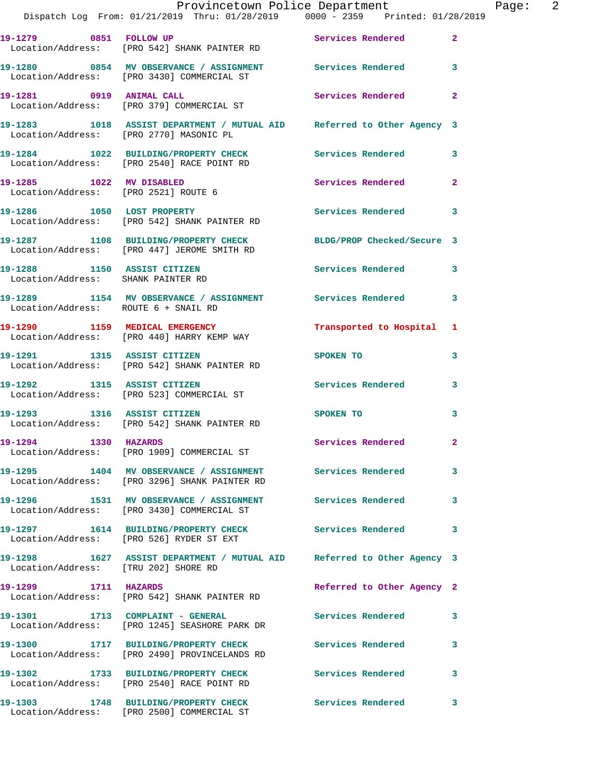|                                      | Provincetown Police Department The Page: 2<br>Dispatch Log From: 01/21/2019 Thru: 01/28/2019 0000 - 2359 Printed: 01/28/2019 |                                                                                                                                                                                                                                |                |
|--------------------------------------|------------------------------------------------------------------------------------------------------------------------------|--------------------------------------------------------------------------------------------------------------------------------------------------------------------------------------------------------------------------------|----------------|
|                                      | 19-1279 0851 FOLLOW UP Services Rendered 2<br>Location/Address: [PRO 542] SHANK PAINTER RD                                   |                                                                                                                                                                                                                                |                |
|                                      | 19-1280 0854 MV OBSERVANCE / ASSIGNMENT Services Rendered 3<br>Location/Address: [PRO 3430] COMMERCIAL ST                    |                                                                                                                                                                                                                                |                |
|                                      | 19-1281      0919   ANIMAL CALL<br>Location/Address:   [PRO 379]COMMERCIAL ST                                                | Services Rendered                                                                                                                                                                                                              | $\mathbf{2}$   |
|                                      | 19-1283 1018 ASSIST DEPARTMENT / MUTUAL AID Referred to Other Agency 3<br>Location/Address: [PRO 2770] MASONIC PL            |                                                                                                                                                                                                                                |                |
|                                      | 19-1284 1022 BUILDING/PROPERTY CHECK Services Rendered 3<br>Location/Address: [PRO 2540] RACE POINT RD                       |                                                                                                                                                                                                                                |                |
| Location/Address: [PRO 2521] ROUTE 6 | 19-1285 1022 MV DISABLED                                                                                                     | Services Rendered                                                                                                                                                                                                              | $\overline{2}$ |
|                                      | 19-1286 1050 LOST PROPERTY<br>Location/Address: [PRO 542] SHANK PAINTER RD                                                   | Services Rendered 3                                                                                                                                                                                                            |                |
|                                      | 19-1287 1108 BUILDING/PROPERTY CHECK BLDG/PROP Checked/Secure 3<br>Location/Address: [PRO 447] JEROME SMITH RD               |                                                                                                                                                                                                                                |                |
|                                      | 19-1288 1150 ASSIST CITIZEN 19-1288 Services Rendered 3<br>Location/Address: SHANK PAINTER RD                                |                                                                                                                                                                                                                                |                |
| Location/Address: ROUTE 6 + SNAIL RD | 19-1289 1154 MV OBSERVANCE / ASSIGNMENT Services Rendered                                                                    |                                                                                                                                                                                                                                | 3              |
|                                      | 19-1290 1159 MEDICAL EMERGENCY<br>Location/Address: [PRO 440] HARRY KEMP WAY                                                 | Transported to Hospital 1                                                                                                                                                                                                      |                |
|                                      | 19-1291 1315 ASSIST CITIZEN<br>Location/Address: [PRO 542] SHANK PAINTER RD                                                  | SPOKEN TO THE SPOKEN OF THE SPOKEN OF THE SPOKEN OF THE SPOKEN OF THE SPOKEN OF THE SPOKEN OF THE SPOKEN OF THE SPOKEN OF THE SPOKEN OF THE SPOKEN OF THE SPOKEN OF THE SPOKEN OF THE SPOKEN OF THE SPOKEN OF THE SPOKEN OF TH | 3              |
| 19-1292 1315 ASSIST CITIZEN          | Location/Address: [PRO 523] COMMERCIAL ST                                                                                    | Services Rendered 3                                                                                                                                                                                                            |                |
|                                      | 19-1293 1316 ASSIST CITIZEN<br>Location/Address: [PRO 542] SHANK PAINTER RD                                                  | SPOKEN TO THE SPOKEN OF THE SPOKEN TO                                                                                                                                                                                          | 3              |
| 19-1294 1330 HAZARDS                 | Location/Address: [PRO 1909] COMMERCIAL ST                                                                                   | <b>Services Rendered</b>                                                                                                                                                                                                       |                |
|                                      | 19-1295 1404 MV OBSERVANCE / ASSIGNMENT Services Rendered<br>Location/Address: [PRO 3296] SHANK PAINTER RD                   |                                                                                                                                                                                                                                | 3              |
|                                      | 19-1296 1531 MV OBSERVANCE / ASSIGNMENT Services Rendered<br>Location/Address: [PRO 3430] COMMERCIAL ST                      |                                                                                                                                                                                                                                | 3              |
|                                      | 19-1297 1614 BUILDING/PROPERTY CHECK Services Rendered<br>Location/Address: [PRO 526] RYDER ST EXT                           |                                                                                                                                                                                                                                | 3              |
| Location/Address: [TRU 202] SHORE RD | 19-1298 1627 ASSIST DEPARTMENT / MUTUAL AID Referred to Other Agency 3                                                       |                                                                                                                                                                                                                                |                |
|                                      | 19-1299 1711 HAZARDS<br>Location/Address: [PRO 542] SHANK PAINTER RD                                                         | Referred to Other Agency 2                                                                                                                                                                                                     |                |
|                                      | 19-1301 1713 COMPLAINT - GENERAL Services Rendered<br>Location/Address: [PRO 1245] SEASHORE PARK DR                          |                                                                                                                                                                                                                                | 3              |
|                                      | 19-1300 1717 BUILDING/PROPERTY CHECK Services Rendered<br>Location/Address: [PRO 2490] PROVINCELANDS RD                      |                                                                                                                                                                                                                                | 3              |
|                                      | 19-1302 1733 BUILDING/PROPERTY CHECK Services Rendered<br>Location/Address: [PRO 2540] RACE POINT RD                         |                                                                                                                                                                                                                                | 3              |
|                                      | 19-1303 1748 BUILDING/PROPERTY CHECK Services Rendered 3                                                                     |                                                                                                                                                                                                                                |                |

Location/Address: [PRO 2500] COMMERCIAL ST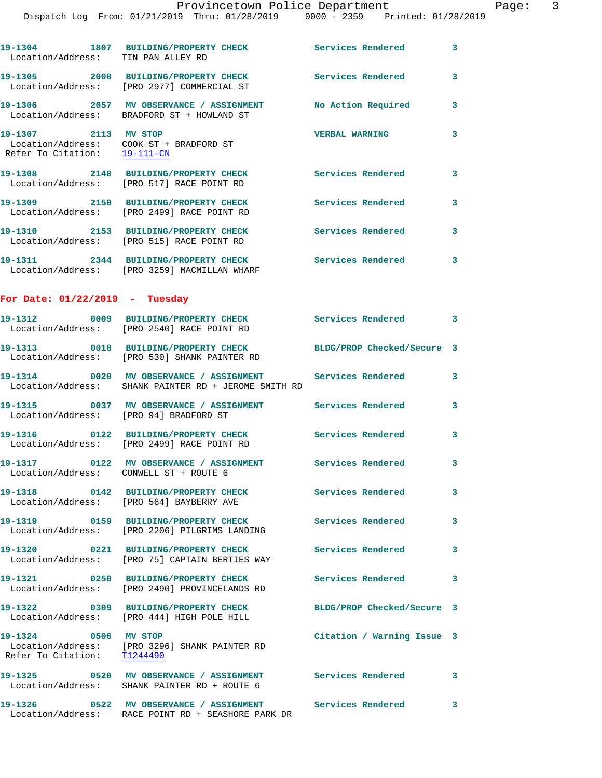| Location/Address: TIN PAN ALLEY RD                                                              | 19-1304 1807 BUILDING/PROPERTY CHECK                                                                              | <b>Services Rendered</b>      | 3 |
|-------------------------------------------------------------------------------------------------|-------------------------------------------------------------------------------------------------------------------|-------------------------------|---|
|                                                                                                 | 19-1305 2008 BUILDING/PROPERTY CHECK<br>Location/Address: [PRO 2977] COMMERCIAL ST                                | Services Rendered             | 3 |
|                                                                                                 | 19-1306 2057 MV OBSERVANCE / ASSIGNMENT<br>Location/Address: BRADFORD ST + HOWLAND ST                             | No Action Required            | 3 |
| 19-1307 2113 MV STOP<br>Location/Address: COOK ST + BRADFORD ST<br>Refer To Citation: 19-111-CN |                                                                                                                   | <b>VERBAL WARNING</b>         | 3 |
|                                                                                                 | 19-1308 2148 BUILDING/PROPERTY CHECK<br>Location/Address: [PRO 517] RACE POINT RD                                 | <b>Services Rendered</b>      | 3 |
|                                                                                                 | 19-1309 2150 BUILDING/PROPERTY CHECK<br>Location/Address: [PRO 2499] RACE POINT RD                                | Services Rendered             | 3 |
|                                                                                                 | 19-1310 2153 BUILDING/PROPERTY CHECK<br>Location/Address: [PRO 515] RACE POINT RD                                 | Services Rendered             | 3 |
|                                                                                                 | 19-1311 2344 BUILDING/PROPERTY CHECK<br>Location/Address: [PRO 3259] MACMILLAN WHARF                              | Services Rendered             | 3 |
| For Date: $01/22/2019$ - Tuesday                                                                |                                                                                                                   |                               |   |
|                                                                                                 | 19-1312 0009 BUILDING/PROPERTY CHECK<br>Location/Address: [PRO 2540] RACE POINT RD                                | Services Rendered<br>$\sim$ 3 |   |
|                                                                                                 | 19-1313 0018 BUILDING/PROPERTY CHECK<br>Location/Address: [PRO 530] SHANK PAINTER RD                              | BLDG/PROP Checked/Secure 3    |   |
|                                                                                                 | 19-1314 0020 MV OBSERVANCE / ASSIGNMENT Services Rendered<br>Location/Address: SHANK PAINTER RD + JEROME SMITH RD |                               | 3 |
| Location/Address: [PRO 94] BRADFORD ST                                                          | 19-1315 0037 MV OBSERVANCE / ASSIGNMENT Services Rendered                                                         |                               | 3 |
|                                                                                                 | 19-1316  0122 BUILDING/PROPERTY CHECK<br>Location/Address: [PRO 2499] RACE POINT RD                               | Services Rendered             | 3 |
| Location/Address: CONWELL ST + ROUTE 6                                                          |                                                                                                                   |                               | 3 |
|                                                                                                 | 19-1318 0142 BUILDING/PROPERTY CHECK<br>Location/Address: [PRO 564] BAYBERRY AVE                                  | Services Rendered             | 3 |
|                                                                                                 | 19-1319 0159 BUILDING/PROPERTY CHECK<br>Location/Address: [PRO 2206] PILGRIMS LANDING                             | <b>Services Rendered</b>      | 3 |
|                                                                                                 | Location/Address: [PRO 75] CAPTAIN BERTIES WAY                                                                    |                               | 3 |
|                                                                                                 | 19-1321 0250 BUILDING/PROPERTY CHECK<br>Location/Address: [PRO 2490] PROVINCELANDS RD                             | Services Rendered             | 3 |
|                                                                                                 | 19-1322 0309 BUILDING/PROPERTY CHECK<br>Location/Address: [PRO 444] HIGH POLE HILL                                | BLDG/PROP Checked/Secure 3    |   |
| 19-1324 0506 MV STOP<br>Refer To Citation: T1244490                                             | Location/Address: [PRO 3296] SHANK PAINTER RD                                                                     | Citation / Warning Issue 3    |   |
|                                                                                                 | Location/Address: SHANK PAINTER RD + ROUTE 6                                                                      |                               | 3 |
| 19-1326                                                                                         | 0522 MV OBSERVANCE / ASSIGNMENT Services Rendered<br>Location/Address: RACE POINT RD + SEASHORE PARK DR           |                               | 3 |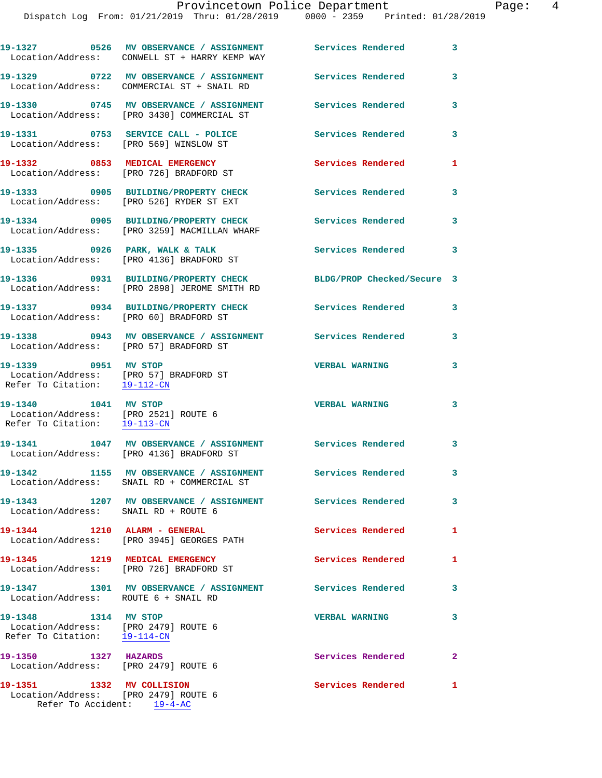|                                                                                              | 19-1327 0526 MV OBSERVANCE / ASSIGNMENT Services Rendered<br>Location/Address: CONWELL ST + HARRY KEMP WAY |                            | 3            |
|----------------------------------------------------------------------------------------------|------------------------------------------------------------------------------------------------------------|----------------------------|--------------|
|                                                                                              | 19-1329 0722 MV OBSERVANCE / ASSIGNMENT<br>Location/Address: COMMERCIAL ST + SNAIL RD                      | <b>Services Rendered</b>   | 3            |
|                                                                                              | 19-1330 0745 MV OBSERVANCE / ASSIGNMENT<br>Location/Address: [PRO 3430] COMMERCIAL ST                      | <b>Services Rendered</b>   | 3            |
| Location/Address: [PRO 569] WINSLOW ST                                                       | 19-1331 0753 SERVICE CALL - POLICE                                                                         | Services Rendered          | 3            |
| 19-1332 0853 MEDICAL EMERGENCY                                                               | Location/Address: [PRO 726] BRADFORD ST                                                                    | Services Rendered          | 1            |
|                                                                                              | 19-1333 0905 BUILDING/PROPERTY CHECK<br>Location/Address: [PRO 526] RYDER ST EXT                           | <b>Services Rendered</b>   | 3            |
|                                                                                              | 19-1334 0905 BUILDING/PROPERTY CHECK<br>Location/Address: [PRO 3259] MACMILLAN WHARF                       | Services Rendered          | 3            |
|                                                                                              | 19-1335 0926 PARK, WALK & TALK<br>Location/Address: [PRO 4136] BRADFORD ST                                 | Services Rendered          | 3            |
|                                                                                              | 19-1336 0931 BUILDING/PROPERTY CHECK<br>Location/Address: [PRO 2898] JEROME SMITH RD                       | BLDG/PROP Checked/Secure 3 |              |
| Location/Address: [PRO 60] BRADFORD ST                                                       | 19-1337 0934 BUILDING/PROPERTY CHECK Services Rendered                                                     |                            | 3            |
| Location/Address: [PRO 57] BRADFORD ST                                                       | 19-1338 6943 MV OBSERVANCE / ASSIGNMENT Services Rendered                                                  |                            | 3            |
| Refer To Citation: 19-112-CN                                                                 |                                                                                                            | <b>VERBAL WARNING</b>      | 3            |
| 19-1340 1041 MV STOP<br>Location/Address: [PRO 2521] ROUTE 6<br>Refer To Citation: 19-113-CN |                                                                                                            | <b>VERBAL WARNING</b>      | 3            |
|                                                                                              | 19-1341 1047 MV OBSERVANCE / ASSIGNMENT Services Rendered<br>Location/Address: [PRO 4136] BRADFORD ST      |                            | 3            |
| 19-1342                                                                                      | 1155 MV OBSERVANCE / ASSIGNMENT Services Rendered<br>Location/Address: SNAIL RD + COMMERCIAL ST            |                            | 3            |
| Location/Address: SNAIL RD + ROUTE 6                                                         | 19-1343 1207 MV OBSERVANCE / ASSIGNMENT Services Rendered                                                  |                            | 3            |
|                                                                                              | 19-1344 1210 ALARM - GENERAL<br>Location/Address: [PRO 3945] GEORGES PATH                                  | Services Rendered          | 1            |
|                                                                                              | 19-1345 1219 MEDICAL EMERGENCY<br>Location/Address: [PRO 726] BRADFORD ST                                  | Services Rendered          | 1            |
| Location/Address: ROUTE 6 + SNAIL RD                                                         | 19-1347 1301 MV OBSERVANCE / ASSIGNMENT Services Rendered                                                  |                            | 3            |
| 19-1348 1314 MV STOP<br>Location/Address: [PRO 2479] ROUTE 6<br>Refer To Citation: 19-114-CN |                                                                                                            | <b>VERBAL WARNING</b>      | 3            |
| 19-1350 1327 HAZARDS<br>Location/Address: [PRO 2479] ROUTE 6                                 |                                                                                                            | Services Rendered          | $\mathbf{2}$ |
| 19-1351 1332 MV COLLISION<br>Location/Address: [PRO 2479] ROUTE 6                            |                                                                                                            | Services Rendered          | 1            |

Refer To Accident: 19-4-AC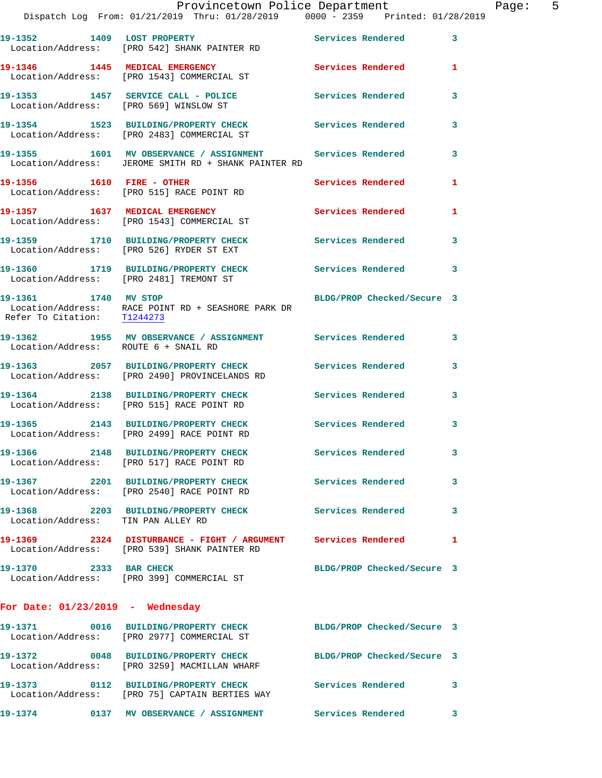|                                      | Dispatch Log From: 01/21/2019 Thru: 01/28/2019 0000 - 2359 Printed: 01/28/2019                                                                                | Provincetown Police Department | Page: 5      |
|--------------------------------------|---------------------------------------------------------------------------------------------------------------------------------------------------------------|--------------------------------|--------------|
|                                      |                                                                                                                                                               |                                |              |
|                                      | 19-1352 1409 LOST PROPERTY Services Rendered 3<br>Location/Address: [PRO 542] SHANK PAINTER RD                                                                |                                |              |
|                                      | 19-1346 1445 MEDICAL EMERGENCY Services Rendered 1<br>Location/Address: [PRO 1543] COMMERCIAL ST                                                              |                                |              |
|                                      | 19-1353 1457 SERVICE CALL - POLICE Services Rendered 3<br>Location/Address: [PRO 569] WINSLOW ST                                                              |                                |              |
|                                      | 19-1354 1523 BUILDING/PROPERTY CHECK<br>Location/Address: [PRO 2483] COMMERCIAL ST                                                                            | Services Rendered              | $\mathbf{3}$ |
|                                      | 19-1355 1601 MV OBSERVANCE / ASSIGNMENT<br>Location/Address: JEROME SMITH RD + SHANK PAINTER RD                                                               | Services Rendered 3            |              |
|                                      | 19-1356 1610 FIRE - OTHER<br>Location/Address: [PRO 515] RACE POINT RD                                                                                        | Services Rendered              | $\mathbf{1}$ |
|                                      | 19-1357 1637 MEDICAL EMERGENCY<br>Location/Address: [PRO 1543] COMMERCIAL ST                                                                                  | Services Rendered 1            |              |
|                                      | 19-1359 1710 BUILDING/PROPERTY CHECK Services Rendered<br>Location/Address: [PRO 526] RYDER ST EXT                                                            |                                | $\mathbf{3}$ |
|                                      | 19-1360 1719 BUILDING/PROPERTY CHECK Services Rendered 3<br>Location/Address: [PRO 2481] TREMONT ST                                                           |                                |              |
|                                      | 19-1361 1740 MV STOP<br>$\begin{tabular}{ll} Location/Address: & RACE POINT RD + SEASHORE PARK DR \\ Refer To citation: & \underline{T1244273} \end{tabular}$ | BLDG/PROP Checked/Secure 3     |              |
| Location/Address: ROUTE 6 + SNAIL RD | 19-1362 1955 MV OBSERVANCE / ASSIGNMENT Services Rendered 3                                                                                                   |                                |              |
|                                      | 19-1363 2057 BUILDING/PROPERTY CHECK Services Rendered 3<br>Location/Address: [PRO 2490] PROVINCELANDS RD                                                     |                                |              |
|                                      | 19-1364 2138 BUILDING/PROPERTY CHECK<br>Location/Address: [PRO 515] RACE POINT RD                                                                             | Services Rendered              | 3            |
|                                      | 19-1365 2143 BUILDING/PROPERTY CHECK Services Rendered<br>Location/Address: [PRO 2499] RACE POINT RD                                                          |                                | 3            |
|                                      | 19-1366 2148 BUILDING/PROPERTY CHECK Services Rendered<br>Location/Address: [PRO 517] RACE POINT RD                                                           |                                | 3            |
|                                      | 19-1367 2201 BUILDING/PROPERTY CHECK Services Rendered<br>Location/Address: [PRO 2540] RACE POINT RD                                                          |                                | 3            |
| Location/Address: TIN PAN ALLEY RD   | 19-1368 2203 BUILDING/PROPERTY CHECK Services Rendered 3                                                                                                      |                                |              |
|                                      | 19-1369 2324 DISTURBANCE - FIGHT / ARGUMENT Services Rendered<br>Location/Address: [PRO 539] SHANK PAINTER RD                                                 |                                | 1            |
| 19-1370 2333 BAR CHECK               | Location/Address: [PRO 399] COMMERCIAL ST                                                                                                                     | BLDG/PROP Checked/Secure 3     |              |
| For Date: $01/23/2019$ - Wednesday   |                                                                                                                                                               |                                |              |
|                                      | 19-1371 0016 BUILDING/PROPERTY CHECK BLDG/PROP Checked/Secure 3<br>Location/Address: [PRO 2977] COMMERCIAL ST                                                 |                                |              |
|                                      | 19-1372 0048 BUILDING/PROPERTY CHECK<br>Location/Address: [PRO 3259] MACMILLAN WHARF                                                                          | BLDG/PROP Checked/Secure 3     |              |
|                                      | 19-1373 0112 BUILDING/PROPERTY CHECK<br>Location/Address: [PRO 75] CAPTAIN BERTIES WAY                                                                        | Services Rendered              | 3            |
| 19-1374                              | 0137 MV OBSERVANCE / ASSIGNMENT                                                                                                                               | Services Rendered              | 3            |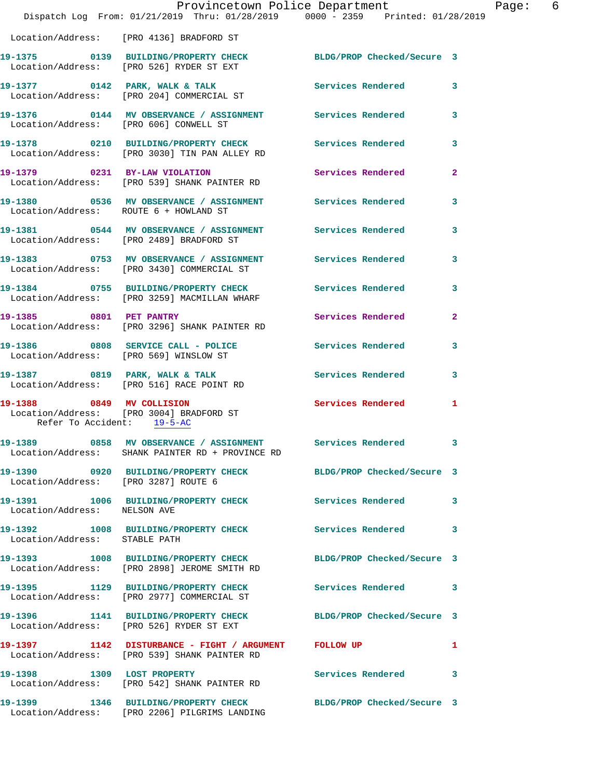|                                                         | Provincetown Police Department<br>Dispatch Log From: 01/21/2019 Thru: 01/28/2019 0000 - 2359 Printed: 01/28/2019    |                            |              |
|---------------------------------------------------------|---------------------------------------------------------------------------------------------------------------------|----------------------------|--------------|
|                                                         | Location/Address: [PRO 4136] BRADFORD ST                                                                            |                            |              |
|                                                         | 19-1375   0139   BUILDING/PROPERTY CHECK   BLDG/PROP Checked/Secure   3<br>Location/Address: [PRO 526] RYDER ST EXT |                            |              |
|                                                         | 19-1377 0142 PARK, WALK & TALK Services Rendered<br>Location/Address: [PRO 204] COMMERCIAL ST                       |                            | 3            |
|                                                         | 19-1376  0144 MV OBSERVANCE / ASSIGNMENT Services Rendered<br>Location/Address: [PRO 606] CONWELL ST                |                            | 3            |
|                                                         | 19-1378 0210 BUILDING/PROPERTY CHECK Services Rendered<br>Location/Address: [PRO 3030] TIN PAN ALLEY RD             |                            | 3            |
|                                                         | 19-1379 0231 BY-LAW VIOLATION<br>Location/Address: [PRO 539] SHANK PAINTER RD                                       | <b>Services Rendered</b>   | $\mathbf{2}$ |
|                                                         | 19-1380 		 0536 MV OBSERVANCE / ASSIGNMENT Services Rendered<br>Location/Address: ROUTE 6 + HOWLAND ST              |                            | 3            |
|                                                         | 19-1381 0544 MV OBSERVANCE / ASSIGNMENT Services Rendered<br>Location/Address: [PRO 2489] BRADFORD ST               |                            | 3            |
|                                                         | 19-1383 6753 MV OBSERVANCE / ASSIGNMENT Services Rendered<br>Location/Address: [PRO 3430] COMMERCIAL ST             |                            | 3            |
|                                                         | 19-1384 0755 BUILDING/PROPERTY CHECK Services Rendered<br>Location/Address: [PRO 3259] MACMILLAN WHARF              |                            | 3            |
|                                                         | 19-1385 0801 PET PANTRY<br>Location/Address: [PRO 3296] SHANK PAINTER RD                                            | Services Rendered          | 2            |
|                                                         | 19-1386 6808 SERVICE CALL - POLICE 68 Services Rendered<br>Location/Address: [PRO 569] WINSLOW ST                   |                            | 3            |
|                                                         | 19-1387 0819 PARK, WALK & TALK<br>Location/Address: [PRO 516] RACE POINT RD                                         | <b>Services Rendered</b>   | 3            |
| 19-1388 0849 MV COLLISION<br>Refer To Accident: 19-5-AC | Location/Address: [PRO 3004] BRADFORD ST                                                                            | Services Rendered          | 1            |
|                                                         | 19-1389 0858 MV OBSERVANCE / ASSIGNMENT<br>Location/Address: SHANK PAINTER RD + PROVINCE RD                         | Services Rendered          | 3            |
| Location/Address: [PRO 3287] ROUTE 6                    | 19-1390 0920 BUILDING/PROPERTY CHECK BLDG/PROP Checked/Secure 3                                                     |                            |              |
| Location/Address: NELSON AVE                            | 19-1391 1006 BUILDING/PROPERTY CHECK                                                                                | <b>Services Rendered</b>   | 3            |
| Location/Address: STABLE PATH                           | 19-1392 1008 BUILDING/PROPERTY CHECK Services Rendered                                                              |                            | 3            |
|                                                         | 19-1393 1008 BUILDING/PROPERTY CHECK BLDG/PROP Checked/Secure 3<br>Location/Address: [PRO 2898] JEROME SMITH RD     |                            |              |
|                                                         | 19-1395 1129 BUILDING/PROPERTY CHECK Services Rendered<br>Location/Address: [PRO 2977] COMMERCIAL ST                |                            | 3            |
|                                                         | 19-1396 1141 BUILDING/PROPERTY CHECK<br>Location/Address: [PRO 526] RYDER ST EXT                                    | BLDG/PROP Checked/Secure 3 |              |
|                                                         | 19-1397 1142 DISTURBANCE - FIGHT / ARGUMENT FOLLOW UP<br>Location/Address: [PRO 539] SHANK PAINTER RD               |                            | 1            |
|                                                         | 19-1398 1309 LOST PROPERTY<br>Location/Address: [PRO 542] SHANK PAINTER RD                                          | <b>Services Rendered</b>   | 3            |
|                                                         | 19-1399 1346 BUILDING/PROPERTY CHECK<br>Location/Address: [PRO 2206] PILGRIMS LANDING                               | BLDG/PROP Checked/Secure 3 |              |

Page: 6<br><sup>19</sup>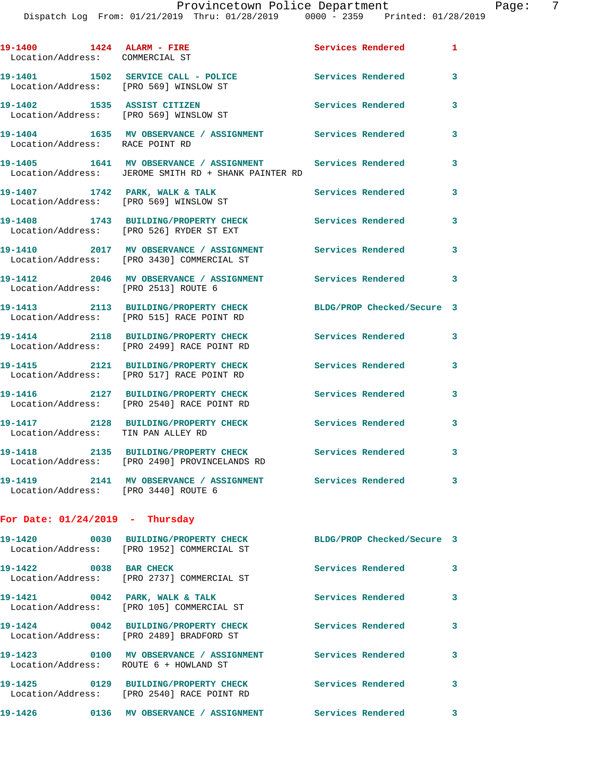| 19-1400 1424 ALARM - FIRE<br>Location/Address: COMMERCIAL ST |                                                                                                                   | Services Rendered 1        |   |
|--------------------------------------------------------------|-------------------------------------------------------------------------------------------------------------------|----------------------------|---|
| Location/Address: [PRO 569] WINSLOW ST                       | 19-1401 1502 SERVICE CALL - POLICE                                                                                | Services Rendered          | 3 |
|                                                              | 19-1402 1535 ASSIST CITIZEN<br>Location/Address: [PRO 569] WINSLOW ST                                             | <b>Services Rendered</b>   | 3 |
| Location/Address: RACE POINT RD                              | 19-1404 1635 MV OBSERVANCE / ASSIGNMENT Services Rendered                                                         |                            | 3 |
|                                                              | 19-1405 1641 MV OBSERVANCE / ASSIGNMENT Services Rendered<br>Location/Address: JEROME SMITH RD + SHANK PAINTER RD |                            | 3 |
| 19-1407 1742 PARK, WALK & TALK                               | Location/Address: [PRO 569] WINSLOW ST                                                                            | Services Rendered          | 3 |
|                                                              | 19-1408 1743 BUILDING/PROPERTY CHECK<br>Location/Address: [PRO 526] RYDER ST EXT                                  | Services Rendered          | 3 |
|                                                              | 19-1410 2017 MV OBSERVANCE / ASSIGNMENT Services Rendered<br>Location/Address: [PRO 3430] COMMERCIAL ST           |                            | 3 |
| Location/Address: [PRO 2513] ROUTE 6                         | 19-1412 2046 MV OBSERVANCE / ASSIGNMENT Services Rendered                                                         |                            | 3 |
|                                                              | 19-1413 2113 BUILDING/PROPERTY CHECK<br>Location/Address: [PRO 515] RACE POINT RD                                 | BLDG/PROP Checked/Secure 3 |   |
|                                                              | 19-1414 2118 BUILDING/PROPERTY CHECK<br>Location/Address: [PRO 2499] RACE POINT RD                                | Services Rendered          | 3 |
|                                                              | 19-1415 2121 BUILDING/PROPERTY CHECK<br>Location/Address: [PRO 517] RACE POINT RD                                 | Services Rendered          | 3 |
|                                                              | 19-1416 2127 BUILDING/PROPERTY CHECK<br>Location/Address: [PRO 2540] RACE POINT RD                                | Services Rendered          | 3 |
| Location/Address: TIN PAN ALLEY RD                           | 19-1417 2128 BUILDING/PROPERTY CHECK                                                                              | <b>Services Rendered</b>   | 3 |
|                                                              | 19-1418 2135 BUILDING/PROPERTY CHECK Services Rendered 3<br>Location/Address: [PRO 2490] PROVINCELANDS RD         |                            |   |
| Location/Address: [PRO 3440] ROUTE 6                         | 19-1419 2141 MV OBSERVANCE / ASSIGNMENT Services Rendered                                                         |                            | 3 |
| For Date: $01/24/2019$ - Thursday                            |                                                                                                                   |                            |   |
| 19-1420                                                      | 0030 BUILDING/PROPERTY CHECK BLDG/PROP Checked/Secure 3<br>Location/Address: [PRO 1952] COMMERCIAL ST             |                            |   |
| 19-1422 0038 BAR CHECK                                       | Location/Address: [PRO 2737] COMMERCIAL ST                                                                        | Services Rendered          | 3 |
| 19-1421 0042 PARK, WALK & TALK                               | Location/Address: [PRO 105] COMMERCIAL ST                                                                         | <b>Services Rendered</b>   | 3 |
|                                                              | 19-1424 0042 BUILDING/PROPERTY CHECK Services Rendered<br>Location/Address: [PRO 2489] BRADFORD ST                |                            | 3 |
| Location/Address: ROUTE 6 + HOWLAND ST                       | 19-1423    0100 MV OBSERVANCE / ASSIGNMENT    Services Rendered                                                   |                            | 3 |
|                                                              | 19-1425 0129 BUILDING/PROPERTY CHECK<br>Location/Address: [PRO 2540] RACE POINT RD                                | Services Rendered          | 3 |
|                                                              |                                                                                                                   |                            | 3 |
|                                                              |                                                                                                                   |                            |   |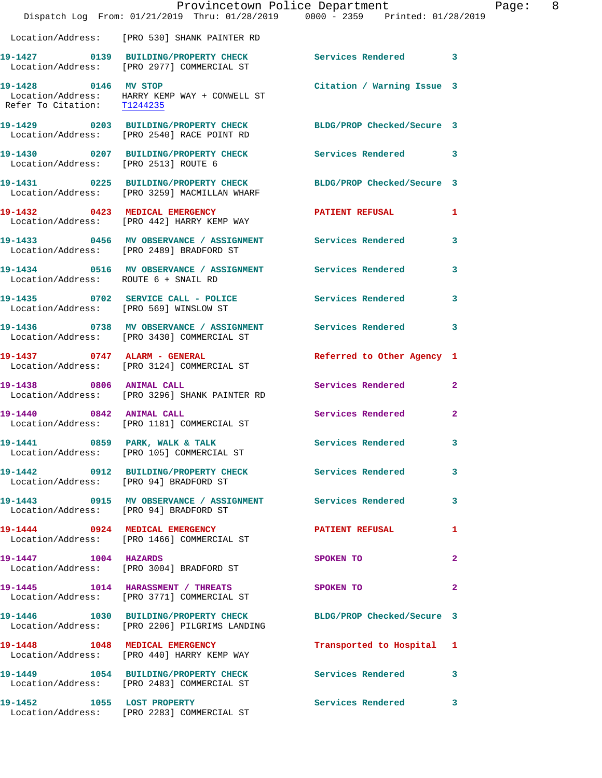|                                        | Dispatch Log From: 01/21/2019 Thru: 01/28/2019 0000 - 2359 Printed: 01/28/2019                                         | Provincetown Police Department | Page: 8      |
|----------------------------------------|------------------------------------------------------------------------------------------------------------------------|--------------------------------|--------------|
|                                        | Location/Address: [PRO 530] SHANK PAINTER RD                                                                           |                                |              |
|                                        | 19-1427 		 0139 BUILDING/PROPERTY CHECK Services Rendered 3<br>Location/Address: [PRO 2977] COMMERCIAL ST              |                                |              |
|                                        | 19-1428 0146 MV STOP<br>Location/Address: HARRY KEMP WAY + CONWELL ST<br>Refer To Citation: $\frac{71244235}{1224235}$ | Citation / Warning Issue 3     |              |
|                                        | 19-1429 0203 BUILDING/PROPERTY CHECK BLDG/PROP Checked/Secure 3<br>Location/Address: [PRO 2540] RACE POINT RD          |                                |              |
|                                        | 19-1430 0207 BUILDING/PROPERTY CHECK Services Rendered 3<br>Location/Address: [PRO 2513] ROUTE 6                       |                                |              |
|                                        | 19-1431 0225 BUILDING/PROPERTY CHECK BLDG/PROP Checked/Secure 3<br>Location/Address: [PRO 3259] MACMILLAN WHARF        |                                |              |
|                                        | 19-1432 0423 MEDICAL EMERGENCY<br>Location/Address: [PRO 442] HARRY KEMP WAY                                           | PATIENT REFUSAL 1              |              |
|                                        | 19-1433 6456 MV OBSERVANCE / ASSIGNMENT Services Rendered 3<br>Location/Address: [PRO 2489] BRADFORD ST                |                                |              |
| Location/Address: ROUTE 6 + SNAIL RD   | 19-1434 0516 MV OBSERVANCE / ASSIGNMENT Services Rendered 3                                                            |                                |              |
| Location/Address: [PRO 569] WINSLOW ST | 19-1435 0702 SERVICE CALL - POLICE Services Rendered                                                                   |                                | $\mathbf{3}$ |
|                                        | 19-1436 6738 MV OBSERVANCE / ASSIGNMENT Services Rendered 3<br>Location/Address: [PRO 3430] COMMERCIAL ST              |                                |              |
|                                        | 19-1437 0747 ALARM - GENERAL<br>Location/Address: [PRO 3124] COMMERCIAL ST                                             | Referred to Other Agency 1     |              |
| 19-1438 0806 ANIMAL CALL               | Location/Address: [PRO 3296] SHANK PAINTER RD                                                                          | Services Rendered 2            |              |
|                                        | 19-1440 0842 ANIMAL CALL<br>Location/Address: [PRO 1181] COMMERCIAL ST                                                 | Services Rendered 2            |              |
|                                        | 19-1441 0859 PARK, WALK & TALK<br>Location/Address: [PRO 105] COMMERCIAL ST                                            | Services Rendered 3            |              |
| Location/Address: [PRO 94] BRADFORD ST | 19-1442 0912 BUILDING/PROPERTY CHECK Services Rendered                                                                 |                                | $\mathbf{3}$ |
| Location/Address: [PRO 94] BRADFORD ST | 19-1443  O915 MV OBSERVANCE / ASSIGNMENT Services Rendered                                                             |                                | $\mathbf{3}$ |
|                                        | 19-1444 0924 MEDICAL EMERGENCY<br>Location/Address: [PRO 1466] COMMERCIAL ST                                           | PATIENT REFUSAL                | 1            |
| 19-1447 1004 HAZARDS                   | Location/Address: [PRO 3004] BRADFORD ST                                                                               | SPOKEN TO                      | $\mathbf{2}$ |
|                                        | 19-1445 1014 HARASSMENT / THREATS SPOKEN TO<br>Location/Address: [PRO 3771] COMMERCIAL ST                              |                                | $\mathbf{2}$ |
|                                        | 19-1446 1030 BUILDING/PROPERTY CHECK BLDG/PROP Checked/Secure 3<br>Location/Address: [PRO 2206] PILGRIMS LANDING       |                                |              |
|                                        | 19-1448 1048 MEDICAL EMERGENCY<br>Location/Address: [PRO 440] HARRY KEMP WAY                                           | Transported to Hospital 1      |              |
|                                        | 19-1449 1054 BUILDING/PROPERTY CHECK Services Rendered 3<br>Location/Address: [PRO 2483] COMMERCIAL ST                 |                                |              |
|                                        | 19-1452 1055 LOST PROPERTY<br>Location/Address: [PRO 2283] COMMERCIAL ST                                               | Services Rendered 3            |              |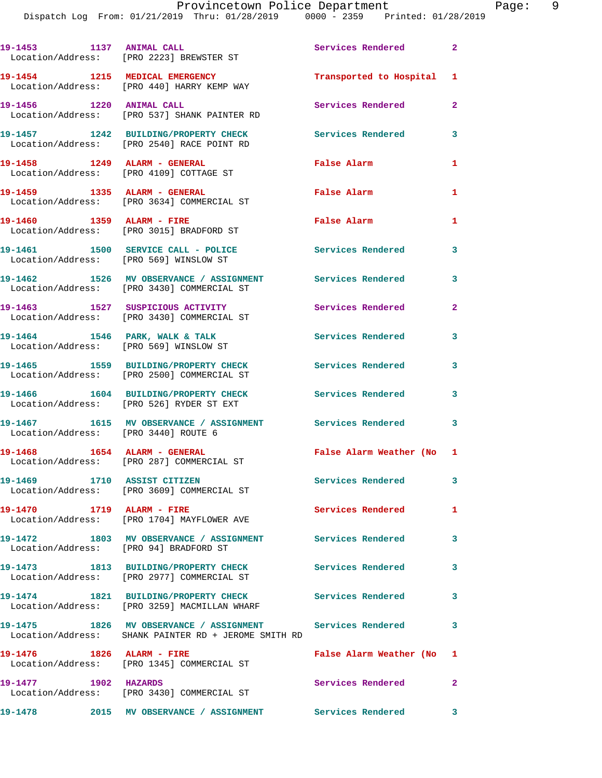Dispatch Log From: 01/21/2019 Thru: 01/28/2019 0000 - 2359 Printed: 01/28/2019

|                                        | 19-1453 1137 ANIMAL CALL<br>Location/Address: [PRO 2223] BREWSTER ST                                              | Services Rendered 2       |                         |
|----------------------------------------|-------------------------------------------------------------------------------------------------------------------|---------------------------|-------------------------|
|                                        | 19-1454 1215 MEDICAL EMERGENCY<br>Location/Address: [PRO 440] HARRY KEMP WAY                                      | Transported to Hospital 1 |                         |
| 19-1456   1220   ANIMAL CALL           | Location/Address: [PRO 537] SHANK PAINTER RD                                                                      | Services Rendered         | $\mathbf{2}$            |
|                                        | 19-1457 1242 BUILDING/PROPERTY CHECK<br>Location/Address: [PRO 2540] RACE POINT RD                                | <b>Services Rendered</b>  | $\overline{\mathbf{3}}$ |
| 19-1458    1249    ALARM - GENERAL     | Location/Address: [PRO 4109] COTTAGE ST                                                                           | False Alarm               | $\mathbf{1}$            |
|                                        | 19-1459 1335 ALARM - GENERAL<br>Location/Address: [PRO 3634] COMMERCIAL ST                                        | False Alarm               | 1                       |
| 19-1460 1359 ALARM - FIRE              | Location/Address: [PRO 3015] BRADFORD ST                                                                          | <b>False Alarm</b>        | $\mathbf{1}$            |
| Location/Address: [PRO 569] WINSLOW ST | 19-1461 1500 SERVICE CALL - POLICE                                                                                | <b>Services Rendered</b>  | $\mathbf{3}$            |
|                                        | 19-1462 1526 MV OBSERVANCE / ASSIGNMENT<br>Location/Address: [PRO 3430] COMMERCIAL ST                             | Services Rendered 3       |                         |
|                                        | 19-1463 1527 SUSPICIOUS ACTIVITY<br>Location/Address: [PRO 3430] COMMERCIAL ST                                    | Services Rendered         | $\mathbf{2}$            |
| 19-1464 1546 PARK, WALK & TALK         | Location/Address: [PRO 569] WINSLOW ST                                                                            | Services Rendered         | 3                       |
|                                        | 19-1465 1559 BUILDING/PROPERTY CHECK<br>Location/Address: [PRO 2500] COMMERCIAL ST                                | <b>Services Rendered</b>  | 3                       |
|                                        | 19-1466 1604 BUILDING/PROPERTY CHECK<br>Location/Address: [PRO 526] RYDER ST EXT                                  | Services Rendered         | 3                       |
| Location/Address: [PRO 3440] ROUTE 6   | 19-1467 1615 MV OBSERVANCE / ASSIGNMENT Services Rendered 3                                                       |                           |                         |
| 19-1468   1654   ALARM - GENERAL       | Location/Address: [PRO 287] COMMERCIAL ST                                                                         | False Alarm Weather (No 1 |                         |
|                                        | 19-1469 1710 ASSIST CITIZEN<br>Location/Address: [PRO 3609] COMMERCIAL ST                                         | <b>Services Rendered</b>  | 3                       |
| 19-1470 1719 ALARM - FIRE              | Location/Address: [PRO 1704] MAYFLOWER AVE                                                                        | <b>Services Rendered</b>  | 1                       |
| Location/Address: [PRO 94] BRADFORD ST | 19-1472 1803 MV OBSERVANCE / ASSIGNMENT Services Rendered                                                         |                           | 3                       |
|                                        | 19-1473 1813 BUILDING/PROPERTY CHECK Services Rendered 3<br>Location/Address: [PRO 2977] COMMERCIAL ST            |                           |                         |
|                                        | 19-1474 1821 BUILDING/PROPERTY CHECK<br>Location/Address: [PRO 3259] MACMILLAN WHARF                              | <b>Services Rendered</b>  | $\mathbf{3}$            |
|                                        | 19-1475 1826 MV OBSERVANCE / ASSIGNMENT Services Rendered<br>Location/Address: SHANK PAINTER RD + JEROME SMITH RD |                           | 3                       |
| 19-1476    1826    ALARM - FIRE        | Location/Address: [PRO 1345] COMMERCIAL ST                                                                        | False Alarm Weather (No 1 |                         |
| 19-1477 1902 HAZARDS                   | Location/Address: [PRO 3430] COMMERCIAL ST                                                                        | Services Rendered 2       |                         |
| 19-1478                                | 2015 MV OBSERVANCE / ASSIGNMENT Services Rendered 3                                                               |                           |                         |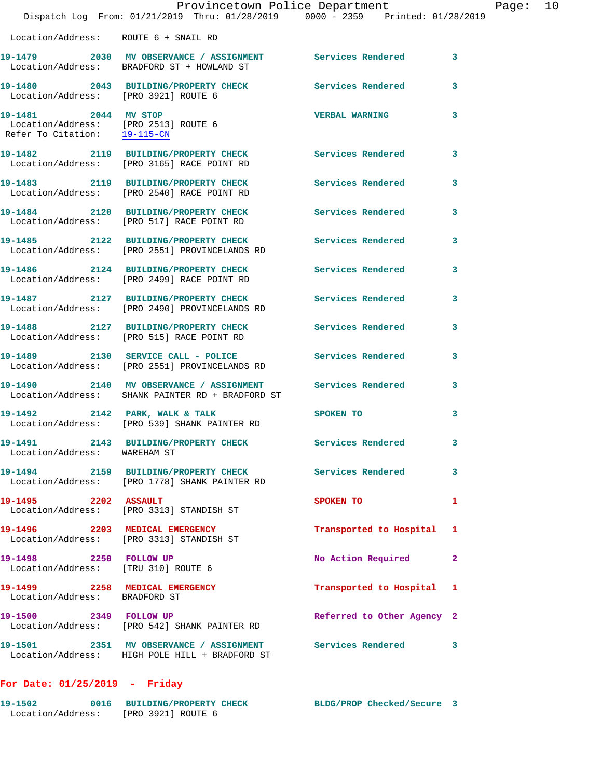|                                                                                              | 19-1479 2030 MV OBSERVANCE / ASSIGNMENT Services Rendered<br>Location/Address: BRADFORD ST + HOWLAND ST     |                            | $\overline{\mathbf{3}}$ |
|----------------------------------------------------------------------------------------------|-------------------------------------------------------------------------------------------------------------|----------------------------|-------------------------|
| Location/Address: [PRO 3921] ROUTE 6                                                         | 19-1480 2043 BUILDING/PROPERTY CHECK                                                                        | <b>Services Rendered</b>   | 3                       |
| 19-1481 2044 MV STOP<br>Location/Address: [PRO 2513] ROUTE 6<br>Refer To Citation: 19-115-CN |                                                                                                             | <b>VERBAL WARNING</b>      | 3                       |
|                                                                                              | 19-1482 2119 BUILDING/PROPERTY CHECK<br>Location/Address: [PRO 3165] RACE POINT RD                          | <b>Services Rendered</b>   | 3                       |
|                                                                                              | 19-1483 2119 BUILDING/PROPERTY CHECK<br>Location/Address: [PRO 2540] RACE POINT RD                          | Services Rendered          | 3                       |
|                                                                                              | 19-1484 2120 BUILDING/PROPERTY CHECK<br>Location/Address: [PRO 517] RACE POINT RD                           | <b>Services Rendered</b>   | 3                       |
|                                                                                              | 19-1485 2122 BUILDING/PROPERTY CHECK<br>Location/Address: [PRO 2551] PROVINCELANDS RD                       | Services Rendered          | 3                       |
|                                                                                              | 19-1486 2124 BUILDING/PROPERTY CHECK<br>Location/Address: [PRO 2499] RACE POINT RD                          | Services Rendered          | 3                       |
|                                                                                              | 19-1487 2127 BUILDING/PROPERTY CHECK<br>Location/Address: [PRO 2490] PROVINCELANDS RD                       | Services Rendered          | 3                       |
|                                                                                              | 19-1488 2127 BUILDING/PROPERTY CHECK<br>Location/Address: [PRO 515] RACE POINT RD                           | <b>Services Rendered</b>   | 3                       |
|                                                                                              | 19-1489 2130 SERVICE CALL - POLICE<br>Location/Address: [PRO 2551] PROVINCELANDS RD                         | <b>Services Rendered</b>   | 3                       |
|                                                                                              | 19-1490 2140 MV OBSERVANCE / ASSIGNMENT<br>Location/Address: SHANK PAINTER RD + BRADFORD ST                 | Services Rendered          | 3                       |
|                                                                                              | 19-1492 2142 PARK, WALK & TALK<br>Location/Address: [PRO 539] SHANK PAINTER RD                              | SPOKEN TO                  | 3                       |
| Location/Address: WAREHAM ST                                                                 | 19-1491 2143 BUILDING/PROPERTY CHECK Services Rendered                                                      |                            | 3                       |
|                                                                                              | 19-1494 2159 BUILDING/PROPERTY CHECK<br>Location/Address: [PRO 1778] SHANK PAINTER RD                       | <b>Services Rendered</b>   | 3                       |
| 19-1495 2202 ASSAULT                                                                         | Location/Address: [PRO 3313] STANDISH ST                                                                    | SPOKEN TO                  | $\mathbf{1}$            |
|                                                                                              | 19-1496 2203 MEDICAL EMERGENCY<br>Location/Address: [PRO 3313] STANDISH ST                                  | Transported to Hospital 1  |                         |
| 19-1498 2250 FOLLOW UP<br>Location/Address: [TRU 310] ROUTE 6                                |                                                                                                             | No Action Required         | $\mathbf{2}$            |
| 19-1499 2258 MEDICAL EMERGENCY<br>Location/Address: BRADFORD ST                              |                                                                                                             | Transported to Hospital 1  |                         |
| 19-1500 2349 FOLLOW UP                                                                       | Location/Address: [PRO 542] SHANK PAINTER RD                                                                | Referred to Other Agency 2 |                         |
|                                                                                              | 19-1501 2351 MV OBSERVANCE / ASSIGNMENT Services Rendered<br>Location/Address: HIGH POLE HILL + BRADFORD ST |                            | 3                       |

## **For Date: 01/25/2019 - Friday**

Location/Address: ROUTE 6 + SNAIL RD

| 19-1502           | 0016 BUILDING/PROPERTY CHECK | BLDG/PROP Checked/Secure 3 |  |
|-------------------|------------------------------|----------------------------|--|
| Location/Address: | [PRO 3921] ROUTE 6           |                            |  |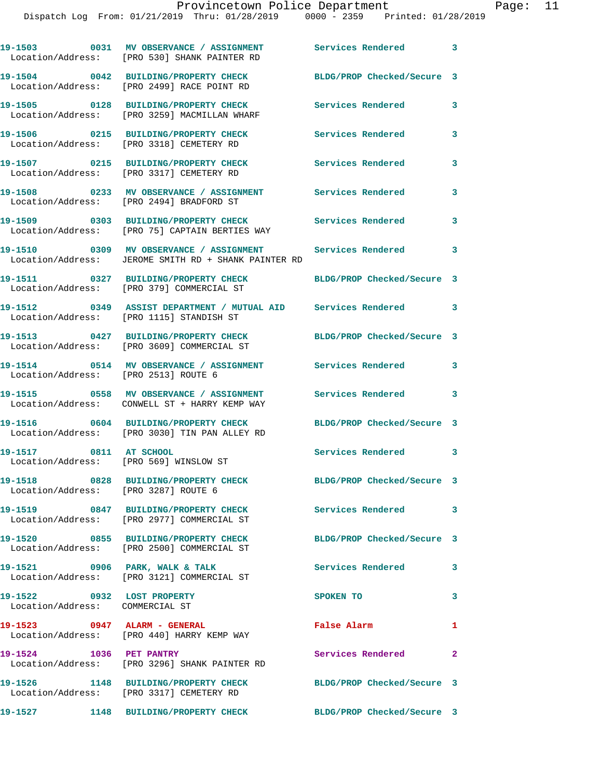|                                                                  | 19-1503 0031 MV OBSERVANCE / ASSIGNMENT<br>Location/Address: [PRO 530] SHANK PAINTER RD                   | Services Rendered 3        |                            |
|------------------------------------------------------------------|-----------------------------------------------------------------------------------------------------------|----------------------------|----------------------------|
|                                                                  | 19-1504 0042 BUILDING/PROPERTY CHECK<br>Location/Address: [PRO 2499] RACE POINT RD                        | BLDG/PROP Checked/Secure 3 |                            |
|                                                                  | 19-1505 0128 BUILDING/PROPERTY CHECK<br>Location/Address: [PRO 3259] MACMILLAN WHARF                      | Services Rendered          | 3                          |
|                                                                  | 19-1506 0215 BUILDING/PROPERTY CHECK<br>Location/Address: [PRO 3318] CEMETERY RD                          | Services Rendered          | 3                          |
|                                                                  | 19-1507 0215 BUILDING/PROPERTY CHECK<br>Location/Address: [PRO 3317] CEMETERY RD                          | <b>Services Rendered</b>   | 3                          |
|                                                                  | 19-1508 0233 MV OBSERVANCE / ASSIGNMENT<br>Location/Address: [PRO 2494] BRADFORD ST                       | <b>Services Rendered</b>   | 3                          |
|                                                                  | 19-1509 0303 BUILDING/PROPERTY CHECK<br>Location/Address: [PRO 75] CAPTAIN BERTIES WAY                    | Services Rendered          | 3                          |
|                                                                  | 19-1510 0309 MV OBSERVANCE / ASSIGNMENT<br>Location/Address: JEROME SMITH RD + SHANK PAINTER RD           | <b>Services Rendered</b>   | 3                          |
|                                                                  | 19-1511 0327 BUILDING/PROPERTY CHECK<br>Location/Address: [PRO 379] COMMERCIAL ST                         | BLDG/PROP Checked/Secure 3 |                            |
|                                                                  | 19-1512 6349 ASSIST DEPARTMENT / MUTUAL AID Services Rendered<br>Location/Address: [PRO 1115] STANDISH ST |                            | $\overline{\phantom{a}}$ 3 |
|                                                                  | 19-1513 0427 BUILDING/PROPERTY CHECK<br>Location/Address: [PRO 3609] COMMERCIAL ST                        | BLDG/PROP Checked/Secure 3 |                            |
| Location/Address: [PRO 2513] ROUTE 6                             | 19-1514 		 0514 MV OBSERVANCE / ASSIGNMENT Services Rendered                                              |                            | 3                          |
|                                                                  | 19-1515 0558 MV OBSERVANCE / ASSIGNMENT<br>Location/Address: CONWELL ST + HARRY KEMP WAY                  | <b>Services Rendered</b>   | 3                          |
|                                                                  | 19-1516 0604 BUILDING/PROPERTY CHECK<br>Location/Address: [PRO 3030] TIN PAN ALLEY RD                     | BLDG/PROP Checked/Secure 3 |                            |
| 19-1517 0811 AT SCHOOL<br>Location/Address: [PRO 569] WINSLOW ST |                                                                                                           | Services Rendered 3        |                            |
| Location/Address: [PRO 3287] ROUTE 6                             | 19-1518 0828 BUILDING/PROPERTY CHECK BLDG/PROP Checked/Secure 3                                           |                            |                            |
|                                                                  | 19-1519 0847 BUILDING/PROPERTY CHECK Services Rendered 3<br>Location/Address: [PRO 2977] COMMERCIAL ST    |                            |                            |
|                                                                  | 19-1520 0855 BUILDING/PROPERTY CHECK<br>Location/Address: [PRO 2500] COMMERCIAL ST                        | BLDG/PROP Checked/Secure 3 |                            |
| 19-1521 0906 PARK, WALK & TALK                                   | Location/Address: [PRO 3121] COMMERCIAL ST                                                                | Services Rendered          | 3                          |
| 19-1522 0932 LOST PROPERTY<br>Location/Address: COMMERCIAL ST    |                                                                                                           | SPOKEN TO                  | 3                          |
| 19-1523 0947 ALARM - GENERAL                                     | Location/Address: [PRO 440] HARRY KEMP WAY                                                                | False Alarm                | 1                          |
| 19-1524 1036 PET PANTRY                                          | Location/Address: [PRO 3296] SHANK PAINTER RD                                                             | Services Rendered          | $\mathbf{2}$               |
|                                                                  | 19-1526 1148 BUILDING/PROPERTY CHECK<br>Location/Address: [PRO 3317] CEMETERY RD                          | BLDG/PROP Checked/Secure 3 |                            |
|                                                                  |                                                                                                           |                            |                            |

**19-1527 1148 BUILDING/PROPERTY CHECK BLDG/PROP Checked/Secure 3**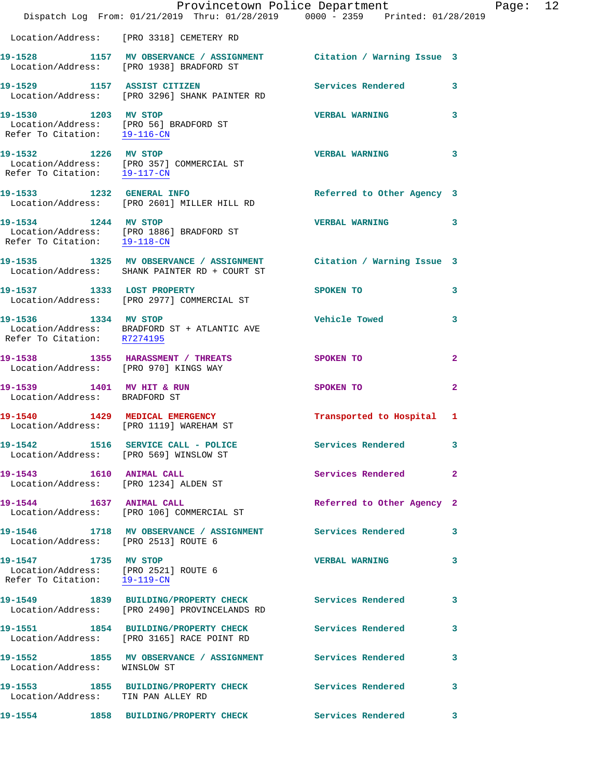|                                                                                              | Dispatch Log From: 01/21/2019 Thru: 01/28/2019 0000 - 2359 Printed: 01/28/2019                                      | Provincetown Police Department |              | Page: 12 |  |
|----------------------------------------------------------------------------------------------|---------------------------------------------------------------------------------------------------------------------|--------------------------------|--------------|----------|--|
|                                                                                              | Location/Address: [PRO 3318] CEMETERY RD                                                                            |                                |              |          |  |
|                                                                                              | 19-1528 1157 MV OBSERVANCE / ASSIGNMENT Citation / Warning Issue 3<br>Location/Address: [PRO 1938] BRADFORD ST      |                                |              |          |  |
|                                                                                              | 19-1529 1157 ASSIST CITIZEN<br>Location/Address: [PRO 3296] SHANK PAINTER RD                                        | Services Rendered 3            |              |          |  |
| 19-1530 1203 MV STOP<br>Refer To Citation: 19-116-CN                                         | Location/Address: [PRO 56] BRADFORD ST                                                                              | <b>VERBAL WARNING</b>          | 3            |          |  |
|                                                                                              | 19-1532 1226 MV STOP<br>Location/Address: [PRO 357] COMMERCIAL ST<br>Refer To Citation: 19-117-CN                   | <b>VERBAL WARNING</b>          | 3            |          |  |
| 19-1533 1232 GENERAL INFO                                                                    | Location/Address: [PRO 2601] MILLER HILL RD                                                                         | Referred to Other Agency 3     |              |          |  |
| Refer To Citation: 19-118-CN                                                                 | 19-1534 1244 MV STOP<br>Location/Address: [PRO 1886] BRADFORD ST                                                    | <b>VERBAL WARNING</b>          | 3            |          |  |
|                                                                                              | 19-1535 1325 MV OBSERVANCE / ASSIGNMENT Citation / Warning Issue 3<br>Location/Address: SHANK PAINTER RD + COURT ST |                                |              |          |  |
|                                                                                              | 19-1537 1333 LOST PROPERTY<br>Location/Address: [PRO 2977] COMMERCIAL ST                                            | SPOKEN TO                      | 3            |          |  |
| 19-1536 1334 MV STOP<br>Refer To Citation: R7274195                                          | Location/Address: BRADFORD ST + ATLANTIC AVE                                                                        | <b>Vehicle Towed</b>           | 3            |          |  |
|                                                                                              | 19-1538 1355 HARASSMENT / THREATS SPOKEN TO<br>Location/Address: [PRO 970] KINGS WAY                                |                                | $\mathbf{2}$ |          |  |
| 19-1539 1401 MV HIT & RUN<br>Location/Address: BRADFORD ST                                   |                                                                                                                     | SPOKEN TO                      | $\mathbf{2}$ |          |  |
|                                                                                              | 19-1540 1429 MEDICAL EMERGENCY<br>Location/Address: [PRO 1119] WAREHAM ST                                           | Transported to Hospital 1      |              |          |  |
| Location/Address: [PRO 569] WINSLOW ST                                                       | 19-1542 1516 SERVICE CALL - POLICE                                                                                  | Services Rendered 3            |              |          |  |
| 19-1543   1610   ANIMAL CALL                                                                 | Location/Address: [PRO 1234] ALDEN ST                                                                               | Services Rendered              | $\mathbf{2}$ |          |  |
|                                                                                              | 19-1544 1637 ANIMAL CALL<br>Location/Address: [PRO 106] COMMERCIAL ST                                               | Referred to Other Agency 2     |              |          |  |
| Location/Address: [PRO 2513] ROUTE 6                                                         | 19-1546 1718 MV OBSERVANCE / ASSIGNMENT Services Rendered 3                                                         |                                |              |          |  |
| 19-1547 1735 MV STOP<br>Location/Address: [PRO 2521] ROUTE 6<br>Refer To Citation: 19-119-CN |                                                                                                                     | <b>VERBAL WARNING</b>          | 3            |          |  |
|                                                                                              | 19-1549 1839 BUILDING/PROPERTY CHECK Services Rendered<br>Location/Address: [PRO 2490] PROVINCELANDS RD             |                                | 3            |          |  |
|                                                                                              | 19-1551 1854 BUILDING/PROPERTY CHECK<br>Location/Address: [PRO 3165] RACE POINT RD                                  | Services Rendered              | 3            |          |  |
| Location/Address: WINSLOW ST                                                                 | 19-1552 1855 MV OBSERVANCE / ASSIGNMENT Services Rendered                                                           |                                | 3            |          |  |
| Location/Address: TIN PAN ALLEY RD                                                           | 19-1553 1855 BUILDING/PROPERTY CHECK Services Rendered                                                              |                                | 3            |          |  |
|                                                                                              | 19-1554 1858 BUILDING/PROPERTY CHECK                                                                                | <b>Services Rendered</b>       | 3            |          |  |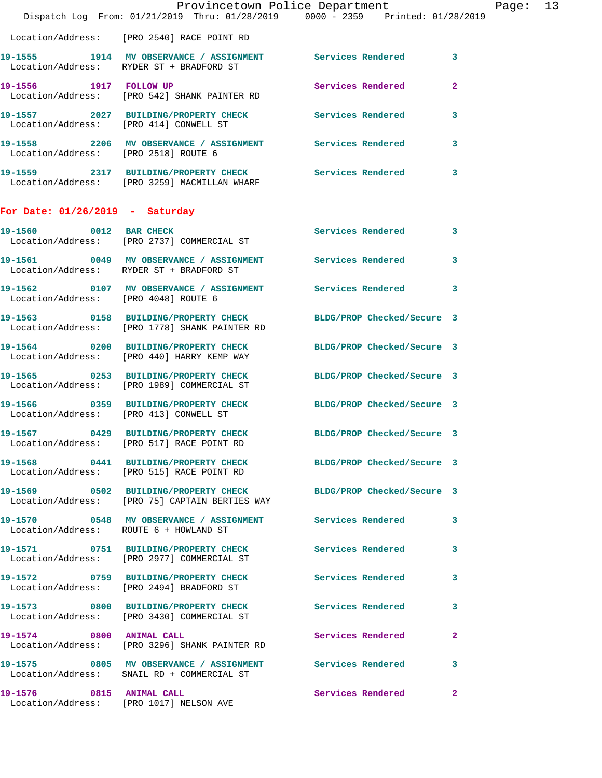|                                        | Provincetown Police Department<br>Dispatch Log From: 01/21/2019 Thru: 01/28/2019 0000 - 2359 Printed: 01/28/2019        |                            |              | Page: 13 |  |
|----------------------------------------|-------------------------------------------------------------------------------------------------------------------------|----------------------------|--------------|----------|--|
|                                        | Location/Address: [PRO 2540] RACE POINT RD                                                                              |                            |              |          |  |
|                                        | 19-1555 1914 MV OBSERVANCE / ASSIGNMENT Services Rendered 3<br>Location/Address: RYDER ST + BRADFORD ST                 |                            |              |          |  |
|                                        | 19-1556 1917 FOLLOW UP<br>Location/Address: [PRO 542] SHANK PAINTER RD                                                  | Services Rendered          | $\mathbf{2}$ |          |  |
| Location/Address: [PRO 414] CONWELL ST | 19-1557 2027 BUILDING/PROPERTY CHECK Services Rendered                                                                  |                            | 3            |          |  |
| Location/Address: [PRO 2518] ROUTE 6   | 19-1558 2206 MV OBSERVANCE / ASSIGNMENT Services Rendered                                                               |                            | 3            |          |  |
|                                        | 19-1559 2317 BUILDING/PROPERTY CHECK Services Rendered<br>Location/Address: [PRO 3259] MACMILLAN WHARF                  |                            | 3            |          |  |
| For Date: $01/26/2019$ - Saturday      |                                                                                                                         |                            |              |          |  |
| 19-1560 0012 BAR CHECK                 | Location/Address: [PRO 2737] COMMERCIAL ST                                                                              | Services Rendered 3        |              |          |  |
|                                        | 19-1561 60049 MV OBSERVANCE / ASSIGNMENT Services Rendered<br>Location/Address: RYDER ST + BRADFORD ST                  |                            | $\mathbf{3}$ |          |  |
| Location/Address: [PRO 4048] ROUTE 6   |                                                                                                                         |                            | 3            |          |  |
|                                        | 19-1563 0158 BUILDING/PROPERTY CHECK<br>Location/Address: [PRO 1778] SHANK PAINTER RD                                   | BLDG/PROP Checked/Secure 3 |              |          |  |
|                                        | 19-1564 0200 BUILDING/PROPERTY CHECK BLDG/PROP Checked/Secure 3<br>Location/Address: [PRO 440] HARRY KEMP WAY           |                            |              |          |  |
|                                        | 19-1565 0253 BUILDING/PROPERTY CHECK BLDG/PROP Checked/Secure 3<br>Location/Address: [PRO 1989] COMMERCIAL ST           |                            |              |          |  |
| Location/Address: [PRO 413] CONWELL ST | 19-1566 0359 BUILDING/PROPERTY CHECK BLDG/PROP Checked/Secure 3                                                         |                            |              |          |  |
|                                        | 19-1567 0429 BUILDING/PROPERTY CHECK BLDG/PROP Checked/Secure 3<br>Location/Address: [PRO 517] RACE POINT RD            |                            |              |          |  |
|                                        | 19-1568 0441 BUILDING/PROPERTY CHECK BLDG/PROP Checked/Secure 3<br>Location/Address: [PRO 515] RACE POINT RD            |                            |              |          |  |
|                                        | 19-1569 		 0502 BUILDING/PROPERTY CHECK 			BLDG/PROP Checked/Secure 3<br>Location/Address: [PRO 75] CAPTAIN BERTIES WAY |                            |              |          |  |
| Location/Address: ROUTE 6 + HOWLAND ST | 19-1570 0548 MV OBSERVANCE / ASSIGNMENT Services Rendered                                                               |                            | 3            |          |  |
|                                        | 19-1571 0751 BUILDING/PROPERTY CHECK<br>Location/Address: [PRO 2977] COMMERCIAL ST                                      | <b>Services Rendered</b>   | 3            |          |  |
|                                        | 19-1572 0759 BUILDING/PROPERTY CHECK<br>Location/Address: [PRO 2494] BRADFORD ST                                        | <b>Services Rendered</b>   | 3            |          |  |
|                                        | 19-1573 0800 BUILDING/PROPERTY CHECK Services Rendered<br>Location/Address: [PRO 3430] COMMERCIAL ST                    |                            | 3            |          |  |
|                                        | 19-1574 0800 ANIMAL CALL<br>Location/Address: [PRO 3296] SHANK PAINTER RD                                               | Services Rendered          | $\mathbf{2}$ |          |  |
|                                        | 19-1575 0805 MV OBSERVANCE / ASSIGNMENT Services Rendered 3<br>Location/Address: SNAIL RD + COMMERCIAL ST               |                            |              |          |  |
|                                        | 19-1576 0815 ANIMAL CALL<br>Location/Address: [PRO 1017] NELSON AVE                                                     | Services Rendered          | $\mathbf{2}$ |          |  |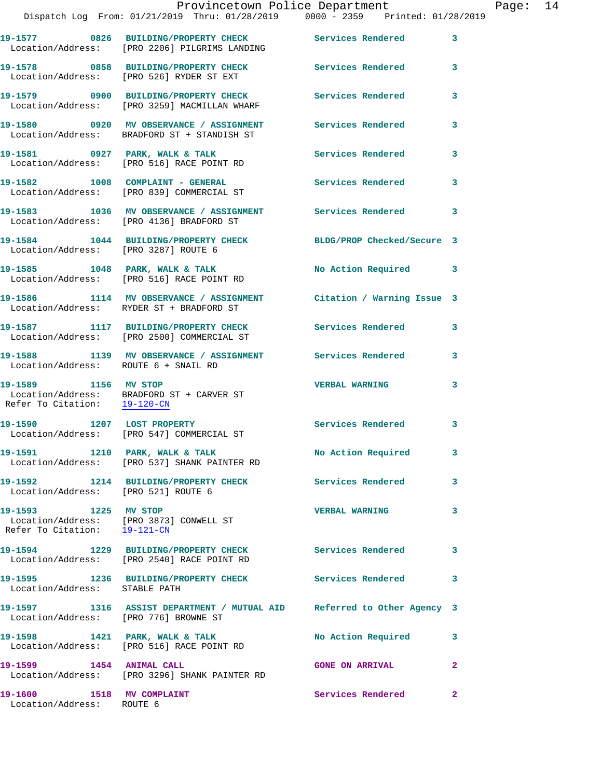|                                                      | Provincetown Police Department<br>Dispatch Log From: 01/21/2019 Thru: 01/28/2019 0000 - 2359 Printed: 01/28/2019 |                          |              |
|------------------------------------------------------|------------------------------------------------------------------------------------------------------------------|--------------------------|--------------|
|                                                      | 19-1577 0826 BUILDING/PROPERTY CHECK Services Rendered<br>Location/Address: [PRO 2206] PILGRIMS LANDING          |                          | 3            |
|                                                      | 19-1578 0858 BUILDING/PROPERTY CHECK Services Rendered<br>Location/Address: [PRO 526] RYDER ST EXT               |                          | 3            |
|                                                      | 19-1579      0900   BUILDING/PROPERTY CHECK<br>Location/Address:   [PRO 3259] MACMILLAN WHARF                    | Services Rendered        | 3            |
|                                                      | 19-1580 0920 MV OBSERVANCE / ASSIGNMENT Services Rendered<br>Location/Address: BRADFORD ST + STANDISH ST         |                          | 3            |
|                                                      | 19-1581 0927 PARK, WALK & TALK<br>Location/Address: [PRO 516] RACE POINT RD                                      | <b>Services Rendered</b> | 3            |
|                                                      | 19-1582 1008 COMPLAINT - GENERAL<br>Location/Address: [PRO 839] COMMERCIAL ST                                    | <b>Services Rendered</b> | 3            |
|                                                      | 19-1583 1036 MV OBSERVANCE / ASSIGNMENT Services Rendered<br>Location/Address: [PRO 4136] BRADFORD ST            |                          | 3            |
| Location/Address: [PRO 3287] ROUTE 6                 | 19-1584 1044 BUILDING/PROPERTY CHECK BLDG/PROP Checked/Secure 3                                                  |                          |              |
|                                                      | 19-1585 1048 PARK, WALK & TALK<br>Location/Address: [PRO 516] RACE POINT RD                                      | No Action Required       | 3            |
|                                                      | 19-1586 1114 MV OBSERVANCE / ASSIGNMENT Citation / Warning Issue 3<br>Location/Address: RYDER ST + BRADFORD ST   |                          |              |
|                                                      | 19-1587 1117 BUILDING/PROPERTY CHECK Services Rendered<br>Location/Address: [PRO 2500] COMMERCIAL ST             |                          | 3            |
| Location/Address: ROUTE 6 + SNAIL RD                 | 19-1588 1139 MV OBSERVANCE / ASSIGNMENT Services Rendered                                                        |                          | 3            |
| 19-1589 1156 MV STOP<br>Refer To Citation: 19-120-CN | Location/Address: BRADFORD ST + CARVER ST                                                                        | <b>VERBAL WARNING</b>    | 3            |
|                                                      | 19-1590 1207 LOST PROPERTY<br>Location/Address: [PRO 547] COMMERCIAL ST                                          | <b>Services Rendered</b> | 3            |
|                                                      | 19-1591 1210 PARK, WALK & TALK<br>Location/Address: [PRO 537] SHANK PAINTER RD                                   | No Action Required       | 3            |
| Location/Address: [PRO 521] ROUTE 6                  | 19-1592 1214 BUILDING/PROPERTY CHECK Services Rendered                                                           |                          | 3            |
| 19-1593 1225 MV STOP                                 | Location/Address: [PRO 3873] CONWELL ST<br>Refer To Citation: 19-121-CN                                          | <b>VERBAL WARNING</b>    | 3            |
|                                                      |                                                                                                                  |                          | 3            |
| Location/Address: STABLE PATH                        | 19-1595 1236 BUILDING/PROPERTY CHECK Services Rendered                                                           |                          | 3            |
| Location/Address: [PRO 776] BROWNE ST                | 19-1597 1316 ASSIST DEPARTMENT / MUTUAL AID Referred to Other Agency 3                                           |                          |              |
|                                                      | 19-1598 1421 PARK, WALK & TALK<br>Location/Address: [PRO 516] RACE POINT RD                                      | No Action Required       | 3            |
| 19-1599 1454 ANIMAL CALL                             | Location/Address: [PRO 3296] SHANK PAINTER RD                                                                    | <b>GONE ON ARRIVAL</b>   | 2            |
| 19-1600 1518 MV COMPLAINT                            |                                                                                                                  | <b>Services Rendered</b> | $\mathbf{2}$ |

Location/Address: ROUTE 6

Page: 14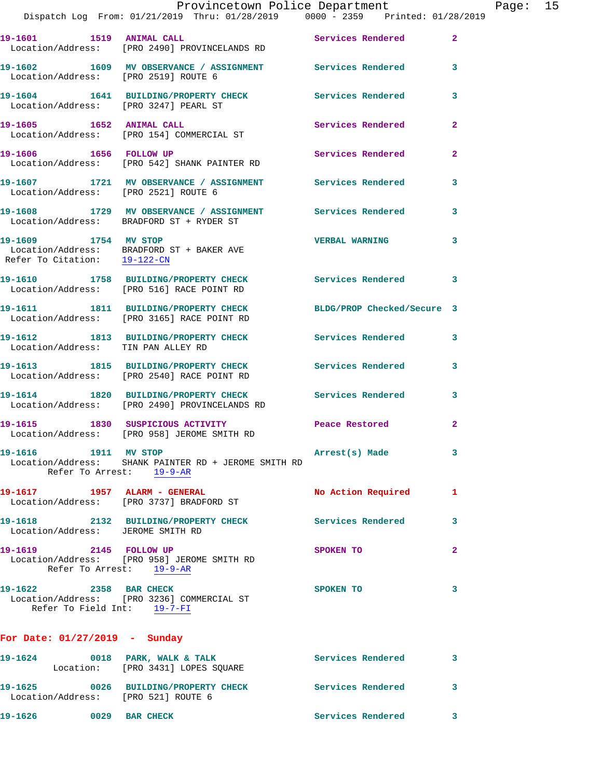|                                                       | Provincetown Police Department<br>Dispatch Log From: 01/21/2019 Thru: 01/28/2019 0000 - 2359 Printed: 01/28/2019 |                          |                |
|-------------------------------------------------------|------------------------------------------------------------------------------------------------------------------|--------------------------|----------------|
|                                                       | 19-1601 1519 ANIMAL CALL<br>Location/Address: [PRO 2490] PROVINCELANDS RD                                        | Services Rendered        | $\overline{2}$ |
| Location/Address: [PRO 2519] ROUTE 6                  | 19-1602 1609 MV OBSERVANCE / ASSIGNMENT Services Rendered                                                        |                          | 3              |
| Location/Address: [PRO 3247] PEARL ST                 | 19-1604 1641 BUILDING/PROPERTY CHECK Services Rendered                                                           |                          | 3              |
| 19-1605 1652 ANIMAL CALL                              | Location/Address: [PRO 154] COMMERCIAL ST                                                                        | Services Rendered        | $\mathbf{2}$   |
|                                                       | 19-1606 1656 FOLLOW UP<br>Location/Address: [PRO 542] SHANK PAINTER RD                                           | Services Rendered        | $\overline{2}$ |
| Location/Address: [PRO 2521] ROUTE 6                  | 19-1607 1721 MV OBSERVANCE / ASSIGNMENT Services Rendered                                                        |                          | 3              |
|                                                       | 19-1608 1729 MV OBSERVANCE / ASSIGNMENT Services Rendered<br>Location/Address: BRADFORD ST + RYDER ST            |                          | 3              |
| 19-1609 1754 MV STOP<br>Refer To Citation: 19-122-CN  | Location/Address: BRADFORD ST + BAKER AVE                                                                        | <b>VERBAL WARNING</b>    | 3              |
|                                                       | 19-1610 1758 BUILDING/PROPERTY CHECK Services Rendered<br>Location/Address: [PRO 516] RACE POINT RD              |                          | 3              |
|                                                       | 19-1611 1811 BUILDING/PROPERTY CHECK BLDG/PROP Checked/Secure 3<br>Location/Address: [PRO 3165] RACE POINT RD    |                          |                |
| Location/Address: TIN PAN ALLEY RD                    | 19-1612 1813 BUILDING/PROPERTY CHECK                                                                             | Services Rendered        | 3              |
|                                                       | 19-1613 1815 BUILDING/PROPERTY CHECK<br>Location/Address: [PRO 2540] RACE POINT RD                               | <b>Services Rendered</b> | 3              |
|                                                       | 19-1614 1820 BUILDING/PROPERTY CHECK Services Rendered<br>Location/Address: [PRO 2490] PROVINCELANDS RD          |                          | 3              |
|                                                       | 19-1615 1830 SUSPICIOUS ACTIVITY<br>Location/Address: [PRO 958] JEROME SMITH RD                                  | Peace Restored           | $\mathbf{2}$   |
|                                                       | Location/Address: SHANK PAINTER RD + JEROME SMITH RD<br>Refer To Arrest: 19-9-AR                                 | Arrest(s) Made           | 3              |
|                                                       | 19-1617 1957 ALARM - GENERAL<br>Location/Address: [PRO 3737] BRADFORD ST                                         | No Action Required       | 1              |
| Location/Address: JEROME SMITH RD                     | 19-1618 2132 BUILDING/PROPERTY CHECK Services Rendered                                                           |                          | 3              |
| 19-1619 2145 FOLLOW UP                                | Location/Address: [PRO 958] JEROME SMITH RD<br>Refer To Arrest: 19-9-AR                                          | SPOKEN TO                | $\mathbf{2}$   |
| 19-1622 2358 BAR CHECK<br>Refer To Field Int: 19-7-FI | Location/Address: [PRO 3236] COMMERCIAL ST                                                                       | SPOKEN TO                | 3              |
| For Date: $01/27/2019$ - Sunday                       |                                                                                                                  |                          |                |

**19-1624 0018 PARK, WALK & TALK Services Rendered 3**  Location: [PRO 3431] LOPES SQUARE **19-1625 0026 BUILDING/PROPERTY CHECK Services Rendered 3**  Location/Address: [PRO 521] ROUTE 6 **19-1626 0029 BAR CHECK Services Rendered 3** 

Page:  $15$ <br>9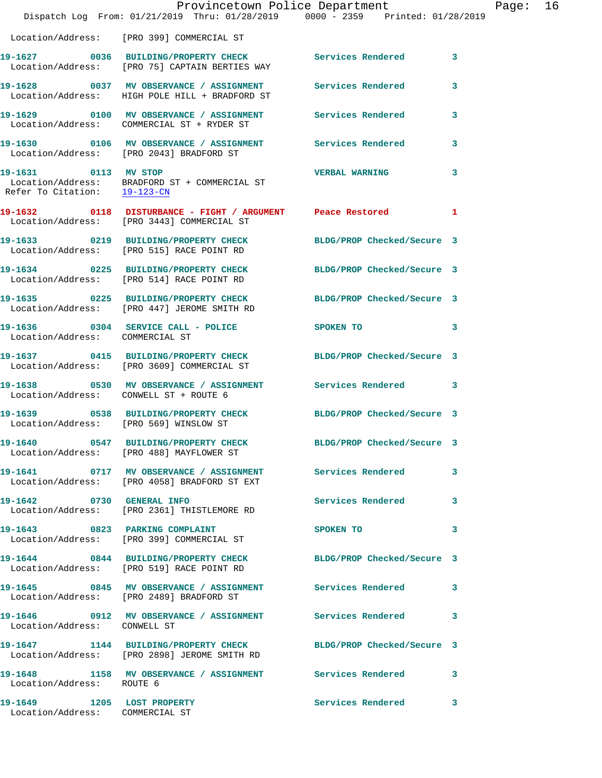|                                                               | Dispatch Log From: 01/21/2019 Thru: 01/28/2019 0000 - 2359 Printed: 01/28/2019                                       | Provincetown Police Department | Page: 16     |  |
|---------------------------------------------------------------|----------------------------------------------------------------------------------------------------------------------|--------------------------------|--------------|--|
|                                                               | Location/Address: [PRO 399] COMMERCIAL ST                                                                            |                                |              |  |
|                                                               | 19-1627 0036 BUILDING/PROPERTY CHECK Services Rendered 3<br>Location/Address: [PRO 75] CAPTAIN BERTIES WAY           |                                |              |  |
|                                                               | 19-1628 6037 MV OBSERVANCE / ASSIGNMENT Services Rendered<br>Location/Address: HIGH POLE HILL + BRADFORD ST          |                                | $\mathbf{3}$ |  |
|                                                               | 19-1629 0100 MV OBSERVANCE / ASSIGNMENT Services Rendered 3<br>Location/Address: COMMERCIAL ST + RYDER ST            |                                |              |  |
|                                                               | 19-1630       0106   MV OBSERVANCE / ASSIGNMENT       Services Rendered<br>Location/Address:   [PRO 2043]BRADFORD ST |                                | $\mathbf{3}$ |  |
| Refer To Citation: 19-123-CN                                  | 19-1631 0113 MV STOP<br>Location/Address: BRADFORD ST + COMMERCIAL ST                                                | <b>VERBAL WARNING</b>          | 3            |  |
|                                                               | Location/Address: [PRO 3443] COMMERCIAL ST                                                                           |                                |              |  |
|                                                               | 19-1633 0219 BUILDING/PROPERTY CHECK BLDG/PROP Checked/Secure 3<br>Location/Address: [PRO 515] RACE POINT RD         |                                |              |  |
|                                                               | 19-1634 0225 BUILDING/PROPERTY CHECK BLDG/PROP Checked/Secure 3<br>Location/Address: [PRO 514] RACE POINT RD         |                                |              |  |
|                                                               | 19-1635 0225 BUILDING/PROPERTY CHECK BLDG/PROP Checked/Secure 3<br>Location/Address: [PRO 447] JEROME SMITH RD       |                                |              |  |
| Location/Address: COMMERCIAL ST                               | 19-1636 0304 SERVICE CALL - POLICE SPOKEN TO                                                                         | $\sim$ 3                       |              |  |
|                                                               | 19-1637 0415 BUILDING/PROPERTY CHECK BLDG/PROP Checked/Secure 3<br>Location/Address: [PRO 3609] COMMERCIAL ST        |                                |              |  |
| Location/Address: CONWELL ST + ROUTE 6                        | 19-1638 6530 MV OBSERVANCE / ASSIGNMENT Services Rendered 3                                                          |                                |              |  |
|                                                               | 19-1639 0538 BUILDING/PROPERTY CHECK BLDG/PROP Checked/Secure 3<br>Location/Address: [PRO 569] WINSLOW ST            |                                |              |  |
|                                                               | 19-1640 0547 BUILDING/PROPERTY CHECK<br>Location/Address: [PRO 488] MAYFLOWER ST                                     | BLDG/PROP Checked/Secure 3     |              |  |
|                                                               | 19-1641 0717 MV OBSERVANCE / ASSIGNMENT Services Rendered 3<br>Location/Address: [PRO 4058] BRADFORD ST EXT          |                                |              |  |
|                                                               | 19-1642 0730 GENERAL INFO<br>Location/Address: [PRO 2361] THISTLEMORE RD                                             | Services Rendered 3            |              |  |
|                                                               | 19-1643 0823 PARKING COMPLAINT<br>Location/Address: [PRO 399] COMMERCIAL ST                                          | SPOKEN TO                      | 3            |  |
|                                                               | 19-1644 0844 BUILDING/PROPERTY CHECK BLDG/PROP Checked/Secure 3<br>Location/Address: [PRO 519] RACE POINT RD         |                                |              |  |
|                                                               | 19-1645 		 0845 MV OBSERVANCE / ASSIGNMENT Services Rendered 3<br>Location/Address: [PRO 2489] BRADFORD ST           |                                |              |  |
| Location/Address: CONWELL ST                                  | 19-1646 0912 MV OBSERVANCE / ASSIGNMENT Services Rendered 3                                                          |                                |              |  |
|                                                               | 19-1647 1144 BUILDING/PROPERTY CHECK<br>Location/Address: [PRO 2898] JEROME SMITH RD                                 | BLDG/PROP Checked/Secure 3     |              |  |
| Location/Address: ROUTE 6                                     | 19-1648 1158 MV OBSERVANCE / ASSIGNMENT Services Rendered 3                                                          |                                |              |  |
| 19-1649 1205 LOST PROPERTY<br>Location/Address: COMMERCIAL ST |                                                                                                                      | Services Rendered 3            |              |  |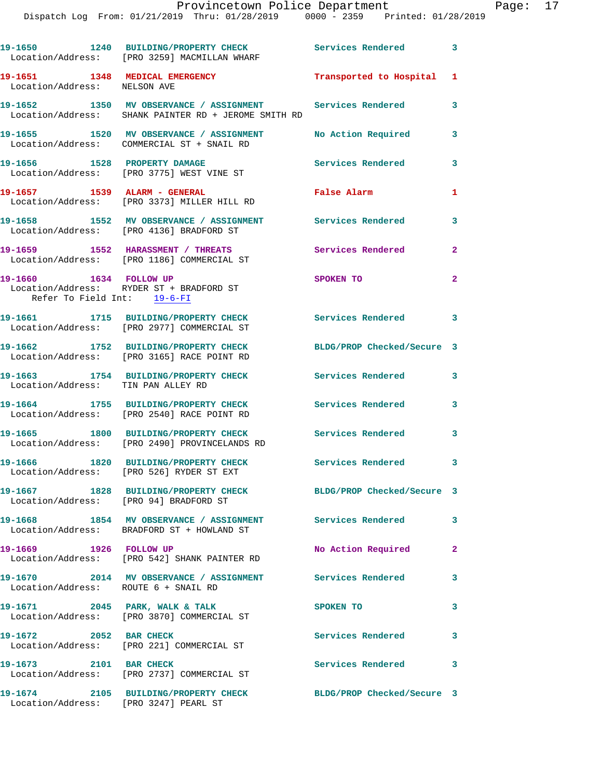|                                                                | 19-1650 1240 BUILDING/PROPERTY CHECK<br>Location/Address: [PRO 3259] MACMILLAN WHARF                              | Services Rendered 3        |                |
|----------------------------------------------------------------|-------------------------------------------------------------------------------------------------------------------|----------------------------|----------------|
| 19-1651 1348 MEDICAL EMERGENCY<br>Location/Address: NELSON AVE |                                                                                                                   | Transported to Hospital 1  |                |
|                                                                | 19-1652 1350 MV OBSERVANCE / ASSIGNMENT Services Rendered<br>Location/Address: SHANK PAINTER RD + JEROME SMITH RD |                            | 3              |
|                                                                | 19-1655 1520 MV OBSERVANCE / ASSIGNMENT<br>Location/Address: COMMERCIAL ST + SNAIL RD                             | No Action Required         | 3              |
|                                                                | 19-1656 1528 PROPERTY DAMAGE<br>Location/Address: [PRO 3775] WEST VINE ST                                         | Services Rendered          | 3              |
| 19-1657 1539 ALARM - GENERAL                                   | Location/Address: [PRO 3373] MILLER HILL RD                                                                       | False Alarm                | 1              |
|                                                                | 19-1658 1552 MV OBSERVANCE / ASSIGNMENT<br>Location/Address: [PRO 4136] BRADFORD ST                               | <b>Services Rendered</b>   | 3              |
|                                                                | 19-1659 1552 HARASSMENT / THREATS<br>Location/Address: [PRO 1186] COMMERCIAL ST                                   | Services Rendered          | $\overline{a}$ |
| 19-1660 1634 FOLLOW UP<br>Refer To Field Int: 19-6-FI          | Location/Address: RYDER ST + BRADFORD ST                                                                          | SPOKEN TO                  | $\overline{a}$ |
|                                                                | 19-1661 1715 BUILDING/PROPERTY CHECK<br>Location/Address: [PRO 2977] COMMERCIAL ST                                | Services Rendered 3        |                |
|                                                                | 19-1662 1752 BUILDING/PROPERTY CHECK<br>Location/Address: [PRO 3165] RACE POINT RD                                | BLDG/PROP Checked/Secure 3 |                |
| Location/Address: TIN PAN ALLEY RD                             | 19-1663 1754 BUILDING/PROPERTY CHECK                                                                              | <b>Services Rendered</b>   | 3              |
|                                                                | 19-1664 1755 BUILDING/PROPERTY CHECK<br>Location/Address: [PRO 2540] RACE POINT RD                                | <b>Services Rendered</b>   | 3              |
|                                                                | 19-1665 1800 BUILDING/PROPERTY CHECK<br>Location/Address: [PRO 2490] PROVINCELANDS RD                             | <b>Services Rendered</b>   | 3              |
|                                                                | 19-1666 1820 BUILDING/PROPERTY CHECK<br>Location/Address: [PRO 526] RYDER ST EXT                                  | Services Rendered          | 3              |
| Location/Address: [PRO 94] BRADFORD ST                         | 19-1667 1828 BUILDING/PROPERTY CHECK                                                                              | BLDG/PROP Checked/Secure 3 |                |
|                                                                | 19-1668 1854 MV OBSERVANCE / ASSIGNMENT Services Rendered<br>Location/Address: BRADFORD ST + HOWLAND ST           |                            | 3              |
| 19-1669 1926 FOLLOW UP                                         | Location/Address: [PRO 542] SHANK PAINTER RD                                                                      | No Action Required         | $\mathbf{2}$   |
| Location/Address: ROUTE 6 + SNAIL RD                           | 19-1670 2014 MV OBSERVANCE / ASSIGNMENT Services Rendered                                                         |                            | 3              |
|                                                                | 19-1671 2045 PARK, WALK & TALK<br>Location/Address: [PRO 3870] COMMERCIAL ST                                      | SPOKEN TO                  | 3              |
| 19-1672 2052 BAR CHECK                                         | Location/Address: [PRO 221] COMMERCIAL ST                                                                         | Services Rendered          | 3              |
| 19-1673 2101 BAR CHECK                                         | Location/Address: [PRO 2737] COMMERCIAL ST                                                                        | <b>Services Rendered</b>   | 3              |
| Location/Address: [PRO 3247] PEARL ST                          | 19-1674 2105 BUILDING/PROPERTY CHECK BLDG/PROP Checked/Secure 3                                                   |                            |                |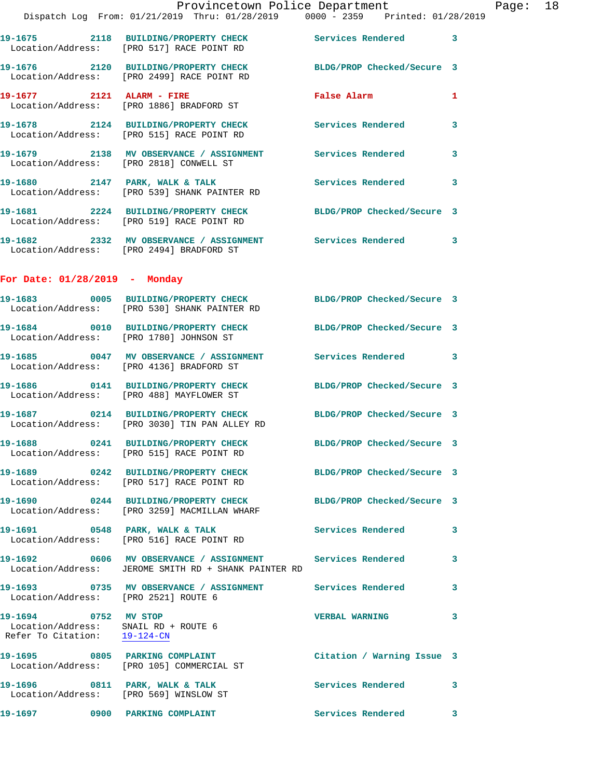|                                                                                                          | Provincetown Police Department<br>Dispatch Log From: 01/21/2019 Thru: 01/28/2019 0000 - 2359 Printed: 01/28/2019 |                            |   |
|----------------------------------------------------------------------------------------------------------|------------------------------------------------------------------------------------------------------------------|----------------------------|---|
|                                                                                                          |                                                                                                                  |                            |   |
|                                                                                                          | 19-1675 2118 BUILDING/PROPERTY CHECK Services Rendered<br>Location/Address: [PRO 517] RACE POINT RD              |                            | 3 |
|                                                                                                          | 19-1676 2120 BUILDING/PROPERTY CHECK BLDG/PROP Checked/Secure 3<br>Location/Address: [PRO 2499] RACE POINT RD    |                            |   |
| 19-1677 2121 ALARM - FIRE                                                                                | Location/Address: [PRO 1886] BRADFORD ST                                                                         | <b>False Alarm</b>         | 1 |
|                                                                                                          | 19-1678  2124 BUILDING/PROPERTY CHECK Services Rendered<br>Location/Address: [PRO 515] RACE POINT RD             |                            | 3 |
|                                                                                                          | Location/Address: [PRO 2818] CONWELL ST                                                                          |                            | 3 |
|                                                                                                          | 19-1680 2147 PARK, WALK & TALK<br>Location/Address: [PRO 539] SHANK PAINTER RD                                   | <b>Services Rendered</b>   | 3 |
|                                                                                                          | 19-1681 2224 BUILDING/PROPERTY CHECK<br>Location/Address: [PRO 519] RACE POINT RD                                | BLDG/PROP Checked/Secure 3 |   |
|                                                                                                          | 19-1682 2332 MV OBSERVANCE / ASSIGNMENT Services Rendered<br>Location/Address: [PRO 2494] BRADFORD ST            |                            | 3 |
| For Date: $01/28/2019$ - Monday                                                                          |                                                                                                                  |                            |   |
|                                                                                                          | 19-1683 0005 BUILDING/PROPERTY CHECK BLDG/PROP Checked/Secure 3<br>Location/Address: [PRO 530] SHANK PAINTER RD  |                            |   |
| Location/Address: [PRO 1780] JOHNSON ST                                                                  | 19-1684 0010 BUILDING/PROPERTY CHECK BLDG/PROP Checked/Secure 3                                                  |                            |   |
|                                                                                                          | 19-1685 60047 MV OBSERVANCE / ASSIGNMENT Services Rendered<br>Location/Address: [PRO 4136] BRADFORD ST           |                            | 3 |
|                                                                                                          | 19-1686 0141 BUILDING/PROPERTY CHECK BLDG/PROP Checked/Secure 3<br>Location/Address: [PRO 488] MAYFLOWER ST      |                            |   |
|                                                                                                          | 19-1687 0214 BUILDING/PROPERTY CHECK<br>Location/Address: [PRO 3030] TIN PAN ALLEY RD                            | BLDG/PROP Checked/Secure 3 |   |
|                                                                                                          | 19-1688 0241 BUILDING/PROPERTY CHECK<br>Location/Address: [PRO 515] RACE POINT RD                                | BLDG/PROP Checked/Secure 3 |   |
|                                                                                                          | 19-1689 0242 BUILDING/PROPERTY CHECK BLDG/PROP Checked/Secure 3<br>Location/Address: [PRO 517] RACE POINT RD     |                            |   |
|                                                                                                          | 19-1690 0244 BUILDING/PROPERTY CHECK<br>Location/Address: [PRO 3259] MACMILLAN WHARF                             | BLDG/PROP Checked/Secure 3 |   |
|                                                                                                          | 19-1691 0548 PARK, WALK & TALK<br>Location/Address: [PRO 516] RACE POINT RD                                      | <b>Services Rendered</b>   | 3 |
|                                                                                                          | Location/Address: JEROME SMITH RD + SHANK PAINTER RD                                                             |                            | 3 |
| Location/Address: [PRO 2521] ROUTE 6                                                                     | 19-1693 <b>19-1693</b> 0735 MV OBSERVANCE / ASSIGNMENT Services Rendered                                         |                            | 3 |
| 19-1694 0752 MV STOP<br>Location/Address: SNAIL RD + ROUTE 6<br>Refer To Citation: $\frac{19-124-CN}{2}$ |                                                                                                                  | <b>VERBAL WARNING</b>      | 3 |
|                                                                                                          | 19-1695 0805 PARKING COMPLAINT<br>Location/Address: [PRO 105] COMMERCIAL ST                                      | Citation / Warning Issue 3 |   |
|                                                                                                          | 19-1696 0811 PARK, WALK & TALK<br>Location/Address: [PRO 569] WINSLOW ST                                         | Services Rendered          | 3 |
|                                                                                                          |                                                                                                                  | <b>Services Rendered</b>   | 3 |

Page: 18<br>019